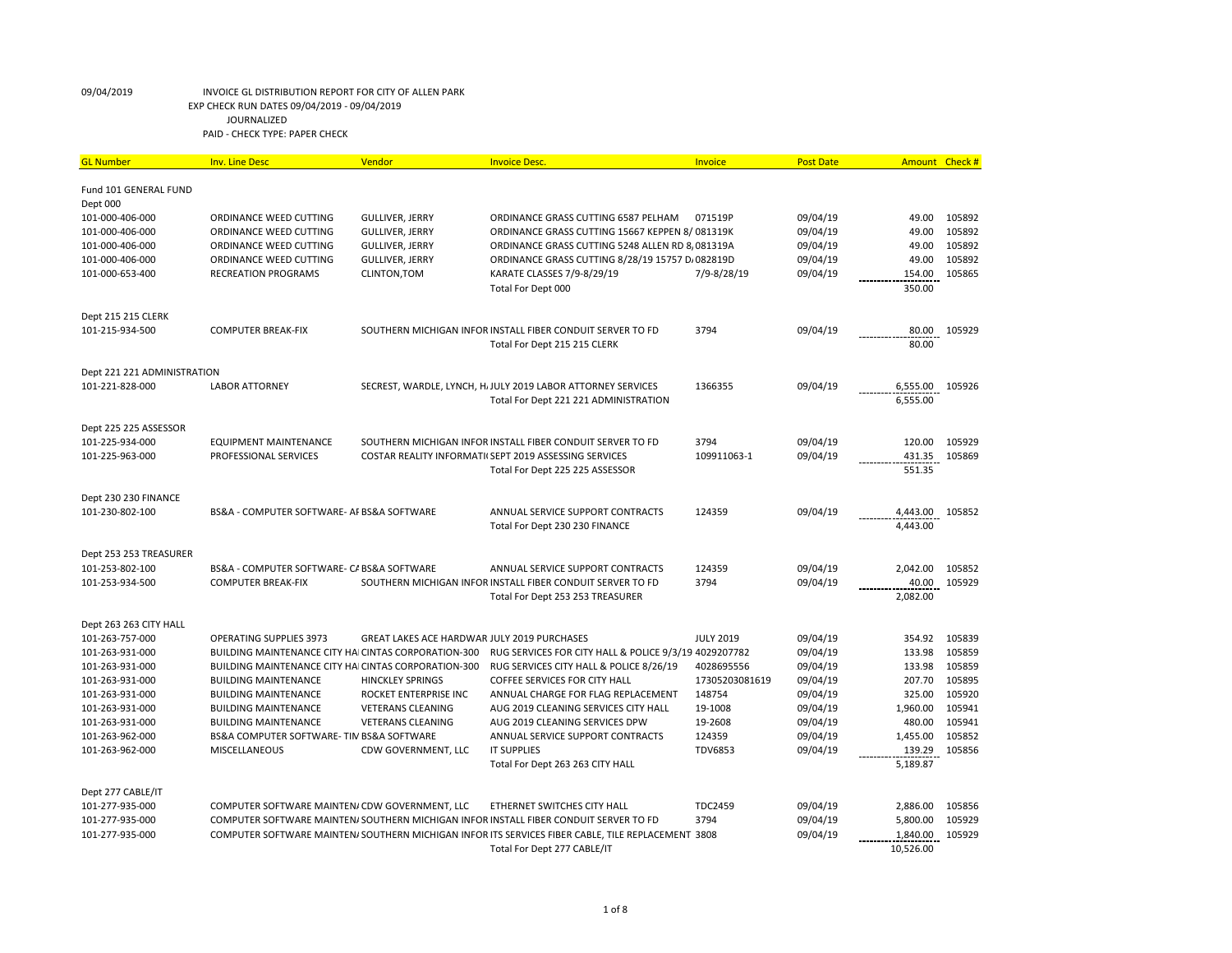| Fund 101 GENERAL FUND<br>Dept 000<br>101-000-406-000<br><b>GULLIVER, JERRY</b><br>ORDINANCE GRASS CUTTING 6587 PELHAM<br>071519P<br>09/04/19<br>49.00<br>105892<br>ORDINANCE WEED CUTTING<br>49.00<br>105892<br>101-000-406-000<br><b>GULLIVER, JERRY</b><br>ORDINANCE GRASS CUTTING 15667 KEPPEN 8/081319K<br>09/04/19<br>ORDINANCE WEED CUTTING<br>101-000-406-000<br><b>GULLIVER, JERRY</b><br>ORDINANCE GRASS CUTTING 5248 ALLEN RD 8, 081319A<br>09/04/19<br>49.00<br>105892<br>ORDINANCE WEED CUTTING<br>49.00<br>105892<br>101-000-406-000<br>ORDINANCE WEED CUTTING<br><b>GULLIVER, JERRY</b><br>ORDINANCE GRASS CUTTING 8/28/19 15757 D. 082819D<br>09/04/19<br>101-000-653-400<br><b>RECREATION PROGRAMS</b><br>CLINTON, TOM<br>KARATE CLASSES 7/9-8/29/19<br>7/9-8/28/19<br>09/04/19<br>154.00<br>105865<br>350.00<br>Total For Dept 000<br>Dept 215 215 CLERK<br>09/04/19<br>101-215-934-500<br><b>COMPUTER BREAK-FIX</b><br>SOUTHERN MICHIGAN INFOR INSTALL FIBER CONDUIT SERVER TO FD<br>3794<br>80.00<br>105929<br>80.00<br>Total For Dept 215 215 CLERK<br>Dept 221 221 ADMINISTRATION<br>SECREST, WARDLE, LYNCH, H. JULY 2019 LABOR ATTORNEY SERVICES<br>09/04/19<br>101-221-828-000<br><b>LABOR ATTORNEY</b><br>1366355<br>6,555.00<br>105926<br>6,555.00<br>Total For Dept 221 221 ADMINISTRATION<br>Dept 225 225 ASSESSOR<br>101-225-934-000<br>3794<br>09/04/19<br>120.00<br>105929<br><b>EQUIPMENT MAINTENANCE</b><br>SOUTHERN MICHIGAN INFOR INSTALL FIBER CONDUIT SERVER TO FD<br>101-225-963-000<br>PROFESSIONAL SERVICES<br>09/04/19<br>431.35<br>105869<br>COSTAR REALITY INFORMATI(SEPT 2019 ASSESSING SERVICES<br>109911063-1<br>Total For Dept 225 225 ASSESSOR<br>551.35<br>Dept 230 230 FINANCE<br>BS&A - COMPUTER SOFTWARE- AF BS&A SOFTWARE<br>124359<br>09/04/19<br>4,443.00<br>101-230-802-100<br>ANNUAL SERVICE SUPPORT CONTRACTS<br>105852<br>4,443.00<br>Total For Dept 230 230 FINANCE<br>Dept 253 253 TREASURER<br>ANNUAL SERVICE SUPPORT CONTRACTS<br>124359<br>09/04/19<br>2,042.00<br>105852<br>101-253-802-100<br>BS&A - COMPUTER SOFTWARE- C/ BS&A SOFTWARE<br>40.00<br>101-253-934-500<br><b>COMPUTER BREAK-FIX</b><br>SOUTHERN MICHIGAN INFOR INSTALL FIBER CONDUIT SERVER TO FD<br>3794<br>09/04/19<br>105929<br>2,082.00<br>Total For Dept 253 253 TREASURER<br>Dept 263 263 CITY HALL<br>101-263-757-000<br><b>OPERATING SUPPLIES 3973</b><br>GREAT LAKES ACE HARDWAR JULY 2019 PURCHASES<br><b>JULY 2019</b><br>09/04/19<br>354.92<br>105839<br>133.98<br>105859<br>101-263-931-000<br>BUILDING MAINTENANCE CITY HAI CINTAS CORPORATION-300<br>RUG SERVICES FOR CITY HALL & POLICE 9/3/19 4029207782<br>09/04/19<br>133.98<br>105859<br>101-263-931-000<br>BUILDING MAINTENANCE CITY HAI CINTAS CORPORATION-300<br>RUG SERVICES CITY HALL & POLICE 8/26/19<br>4028695556<br>09/04/19<br>207.70<br>105895<br>101-263-931-000<br><b>BUILDING MAINTENANCE</b><br><b>HINCKLEY SPRINGS</b><br><b>COFFEE SERVICES FOR CITY HALL</b><br>17305203081619<br>09/04/19<br>325.00<br>105920<br>101-263-931-000<br><b>BUILDING MAINTENANCE</b><br>ROCKET ENTERPRISE INC<br>ANNUAL CHARGE FOR FLAG REPLACEMENT<br>148754<br>09/04/19<br>1,960.00<br>105941<br>101-263-931-000<br><b>BUILDING MAINTENANCE</b><br><b>VETERANS CLEANING</b><br>AUG 2019 CLEANING SERVICES CITY HALL<br>19-1008<br>09/04/19<br>480.00<br>105941<br>101-263-931-000<br><b>BUILDING MAINTENANCE</b><br><b>VETERANS CLEANING</b><br>AUG 2019 CLEANING SERVICES DPW<br>19-2608<br>09/04/19<br>1,455.00<br>105852<br>101-263-962-000<br>BS&A COMPUTER SOFTWARE- TIN BS&A SOFTWARE<br>ANNUAL SERVICE SUPPORT CONTRACTS<br>124359<br>09/04/19<br>105856<br>101-263-962-000<br>MISCELLANEOUS<br>CDW GOVERNMENT, LLC<br><b>IT SUPPLIES</b><br><b>TDV6853</b><br>09/04/19<br>139.29<br>5,189.87<br>Total For Dept 263 263 CITY HALL<br>Dept 277 CABLE/IT<br>09/04/19<br>2,886.00<br>101-277-935-000<br>COMPUTER SOFTWARE MAINTEN/ CDW GOVERNMENT, LLC<br>ETHERNET SWITCHES CITY HALL<br><b>TDC2459</b><br>105856<br>09/04/19<br>5,800.00<br>105929<br>101-277-935-000<br>COMPUTER SOFTWARE MAINTEN/SOUTHERN MICHIGAN INFOR INSTALL FIBER CONDUIT SERVER TO FD<br>3794<br>09/04/19<br>105929<br>101-277-935-000<br>COMPUTER SOFTWARE MAINTEN/SOUTHERN MICHIGAN INFOR ITS SERVICES FIBER CABLE, TILE REPLACEMENT 3808<br>1,840.00<br>10,526.00<br>Total For Dept 277 CABLE/IT | <b>GL Number</b> | <b>Inv. Line Desc</b> | Vendor | <b>Invoice Desc.</b> | Invoice | <b>Post Date</b> | Amount Check # |  |
|-------------------------------------------------------------------------------------------------------------------------------------------------------------------------------------------------------------------------------------------------------------------------------------------------------------------------------------------------------------------------------------------------------------------------------------------------------------------------------------------------------------------------------------------------------------------------------------------------------------------------------------------------------------------------------------------------------------------------------------------------------------------------------------------------------------------------------------------------------------------------------------------------------------------------------------------------------------------------------------------------------------------------------------------------------------------------------------------------------------------------------------------------------------------------------------------------------------------------------------------------------------------------------------------------------------------------------------------------------------------------------------------------------------------------------------------------------------------------------------------------------------------------------------------------------------------------------------------------------------------------------------------------------------------------------------------------------------------------------------------------------------------------------------------------------------------------------------------------------------------------------------------------------------------------------------------------------------------------------------------------------------------------------------------------------------------------------------------------------------------------------------------------------------------------------------------------------------------------------------------------------------------------------------------------------------------------------------------------------------------------------------------------------------------------------------------------------------------------------------------------------------------------------------------------------------------------------------------------------------------------------------------------------------------------------------------------------------------------------------------------------------------------------------------------------------------------------------------------------------------------------------------------------------------------------------------------------------------------------------------------------------------------------------------------------------------------------------------------------------------------------------------------------------------------------------------------------------------------------------------------------------------------------------------------------------------------------------------------------------------------------------------------------------------------------------------------------------------------------------------------------------------------------------------------------------------------------------------------------------------------------------------------------------------------------------------------------------------------------------------------------------------------------------------------------------------------------------------------------------------------------------------------------------------------------------------------------------------------------------------------------------------------------------------------------------------------------------------------------------------------------------------------------------------------------------------------------------------------------------------------------------------------------------------------------------------------------------------------------------------------------------|------------------|-----------------------|--------|----------------------|---------|------------------|----------------|--|
|                                                                                                                                                                                                                                                                                                                                                                                                                                                                                                                                                                                                                                                                                                                                                                                                                                                                                                                                                                                                                                                                                                                                                                                                                                                                                                                                                                                                                                                                                                                                                                                                                                                                                                                                                                                                                                                                                                                                                                                                                                                                                                                                                                                                                                                                                                                                                                                                                                                                                                                                                                                                                                                                                                                                                                                                                                                                                                                                                                                                                                                                                                                                                                                                                                                                                                                                                                                                                                                                                                                                                                                                                                                                                                                                                                                                                                                                                                                                                                                                                                                                                                                                                                                                                                                                                                                                                                                     |                  |                       |        |                      |         |                  |                |  |
|                                                                                                                                                                                                                                                                                                                                                                                                                                                                                                                                                                                                                                                                                                                                                                                                                                                                                                                                                                                                                                                                                                                                                                                                                                                                                                                                                                                                                                                                                                                                                                                                                                                                                                                                                                                                                                                                                                                                                                                                                                                                                                                                                                                                                                                                                                                                                                                                                                                                                                                                                                                                                                                                                                                                                                                                                                                                                                                                                                                                                                                                                                                                                                                                                                                                                                                                                                                                                                                                                                                                                                                                                                                                                                                                                                                                                                                                                                                                                                                                                                                                                                                                                                                                                                                                                                                                                                                     |                  |                       |        |                      |         |                  |                |  |
|                                                                                                                                                                                                                                                                                                                                                                                                                                                                                                                                                                                                                                                                                                                                                                                                                                                                                                                                                                                                                                                                                                                                                                                                                                                                                                                                                                                                                                                                                                                                                                                                                                                                                                                                                                                                                                                                                                                                                                                                                                                                                                                                                                                                                                                                                                                                                                                                                                                                                                                                                                                                                                                                                                                                                                                                                                                                                                                                                                                                                                                                                                                                                                                                                                                                                                                                                                                                                                                                                                                                                                                                                                                                                                                                                                                                                                                                                                                                                                                                                                                                                                                                                                                                                                                                                                                                                                                     |                  |                       |        |                      |         |                  |                |  |
|                                                                                                                                                                                                                                                                                                                                                                                                                                                                                                                                                                                                                                                                                                                                                                                                                                                                                                                                                                                                                                                                                                                                                                                                                                                                                                                                                                                                                                                                                                                                                                                                                                                                                                                                                                                                                                                                                                                                                                                                                                                                                                                                                                                                                                                                                                                                                                                                                                                                                                                                                                                                                                                                                                                                                                                                                                                                                                                                                                                                                                                                                                                                                                                                                                                                                                                                                                                                                                                                                                                                                                                                                                                                                                                                                                                                                                                                                                                                                                                                                                                                                                                                                                                                                                                                                                                                                                                     |                  |                       |        |                      |         |                  |                |  |
|                                                                                                                                                                                                                                                                                                                                                                                                                                                                                                                                                                                                                                                                                                                                                                                                                                                                                                                                                                                                                                                                                                                                                                                                                                                                                                                                                                                                                                                                                                                                                                                                                                                                                                                                                                                                                                                                                                                                                                                                                                                                                                                                                                                                                                                                                                                                                                                                                                                                                                                                                                                                                                                                                                                                                                                                                                                                                                                                                                                                                                                                                                                                                                                                                                                                                                                                                                                                                                                                                                                                                                                                                                                                                                                                                                                                                                                                                                                                                                                                                                                                                                                                                                                                                                                                                                                                                                                     |                  |                       |        |                      |         |                  |                |  |
|                                                                                                                                                                                                                                                                                                                                                                                                                                                                                                                                                                                                                                                                                                                                                                                                                                                                                                                                                                                                                                                                                                                                                                                                                                                                                                                                                                                                                                                                                                                                                                                                                                                                                                                                                                                                                                                                                                                                                                                                                                                                                                                                                                                                                                                                                                                                                                                                                                                                                                                                                                                                                                                                                                                                                                                                                                                                                                                                                                                                                                                                                                                                                                                                                                                                                                                                                                                                                                                                                                                                                                                                                                                                                                                                                                                                                                                                                                                                                                                                                                                                                                                                                                                                                                                                                                                                                                                     |                  |                       |        |                      |         |                  |                |  |
|                                                                                                                                                                                                                                                                                                                                                                                                                                                                                                                                                                                                                                                                                                                                                                                                                                                                                                                                                                                                                                                                                                                                                                                                                                                                                                                                                                                                                                                                                                                                                                                                                                                                                                                                                                                                                                                                                                                                                                                                                                                                                                                                                                                                                                                                                                                                                                                                                                                                                                                                                                                                                                                                                                                                                                                                                                                                                                                                                                                                                                                                                                                                                                                                                                                                                                                                                                                                                                                                                                                                                                                                                                                                                                                                                                                                                                                                                                                                                                                                                                                                                                                                                                                                                                                                                                                                                                                     |                  |                       |        |                      |         |                  |                |  |
|                                                                                                                                                                                                                                                                                                                                                                                                                                                                                                                                                                                                                                                                                                                                                                                                                                                                                                                                                                                                                                                                                                                                                                                                                                                                                                                                                                                                                                                                                                                                                                                                                                                                                                                                                                                                                                                                                                                                                                                                                                                                                                                                                                                                                                                                                                                                                                                                                                                                                                                                                                                                                                                                                                                                                                                                                                                                                                                                                                                                                                                                                                                                                                                                                                                                                                                                                                                                                                                                                                                                                                                                                                                                                                                                                                                                                                                                                                                                                                                                                                                                                                                                                                                                                                                                                                                                                                                     |                  |                       |        |                      |         |                  |                |  |
|                                                                                                                                                                                                                                                                                                                                                                                                                                                                                                                                                                                                                                                                                                                                                                                                                                                                                                                                                                                                                                                                                                                                                                                                                                                                                                                                                                                                                                                                                                                                                                                                                                                                                                                                                                                                                                                                                                                                                                                                                                                                                                                                                                                                                                                                                                                                                                                                                                                                                                                                                                                                                                                                                                                                                                                                                                                                                                                                                                                                                                                                                                                                                                                                                                                                                                                                                                                                                                                                                                                                                                                                                                                                                                                                                                                                                                                                                                                                                                                                                                                                                                                                                                                                                                                                                                                                                                                     |                  |                       |        |                      |         |                  |                |  |
|                                                                                                                                                                                                                                                                                                                                                                                                                                                                                                                                                                                                                                                                                                                                                                                                                                                                                                                                                                                                                                                                                                                                                                                                                                                                                                                                                                                                                                                                                                                                                                                                                                                                                                                                                                                                                                                                                                                                                                                                                                                                                                                                                                                                                                                                                                                                                                                                                                                                                                                                                                                                                                                                                                                                                                                                                                                                                                                                                                                                                                                                                                                                                                                                                                                                                                                                                                                                                                                                                                                                                                                                                                                                                                                                                                                                                                                                                                                                                                                                                                                                                                                                                                                                                                                                                                                                                                                     |                  |                       |        |                      |         |                  |                |  |
|                                                                                                                                                                                                                                                                                                                                                                                                                                                                                                                                                                                                                                                                                                                                                                                                                                                                                                                                                                                                                                                                                                                                                                                                                                                                                                                                                                                                                                                                                                                                                                                                                                                                                                                                                                                                                                                                                                                                                                                                                                                                                                                                                                                                                                                                                                                                                                                                                                                                                                                                                                                                                                                                                                                                                                                                                                                                                                                                                                                                                                                                                                                                                                                                                                                                                                                                                                                                                                                                                                                                                                                                                                                                                                                                                                                                                                                                                                                                                                                                                                                                                                                                                                                                                                                                                                                                                                                     |                  |                       |        |                      |         |                  |                |  |
|                                                                                                                                                                                                                                                                                                                                                                                                                                                                                                                                                                                                                                                                                                                                                                                                                                                                                                                                                                                                                                                                                                                                                                                                                                                                                                                                                                                                                                                                                                                                                                                                                                                                                                                                                                                                                                                                                                                                                                                                                                                                                                                                                                                                                                                                                                                                                                                                                                                                                                                                                                                                                                                                                                                                                                                                                                                                                                                                                                                                                                                                                                                                                                                                                                                                                                                                                                                                                                                                                                                                                                                                                                                                                                                                                                                                                                                                                                                                                                                                                                                                                                                                                                                                                                                                                                                                                                                     |                  |                       |        |                      |         |                  |                |  |
|                                                                                                                                                                                                                                                                                                                                                                                                                                                                                                                                                                                                                                                                                                                                                                                                                                                                                                                                                                                                                                                                                                                                                                                                                                                                                                                                                                                                                                                                                                                                                                                                                                                                                                                                                                                                                                                                                                                                                                                                                                                                                                                                                                                                                                                                                                                                                                                                                                                                                                                                                                                                                                                                                                                                                                                                                                                                                                                                                                                                                                                                                                                                                                                                                                                                                                                                                                                                                                                                                                                                                                                                                                                                                                                                                                                                                                                                                                                                                                                                                                                                                                                                                                                                                                                                                                                                                                                     |                  |                       |        |                      |         |                  |                |  |
|                                                                                                                                                                                                                                                                                                                                                                                                                                                                                                                                                                                                                                                                                                                                                                                                                                                                                                                                                                                                                                                                                                                                                                                                                                                                                                                                                                                                                                                                                                                                                                                                                                                                                                                                                                                                                                                                                                                                                                                                                                                                                                                                                                                                                                                                                                                                                                                                                                                                                                                                                                                                                                                                                                                                                                                                                                                                                                                                                                                                                                                                                                                                                                                                                                                                                                                                                                                                                                                                                                                                                                                                                                                                                                                                                                                                                                                                                                                                                                                                                                                                                                                                                                                                                                                                                                                                                                                     |                  |                       |        |                      |         |                  |                |  |
|                                                                                                                                                                                                                                                                                                                                                                                                                                                                                                                                                                                                                                                                                                                                                                                                                                                                                                                                                                                                                                                                                                                                                                                                                                                                                                                                                                                                                                                                                                                                                                                                                                                                                                                                                                                                                                                                                                                                                                                                                                                                                                                                                                                                                                                                                                                                                                                                                                                                                                                                                                                                                                                                                                                                                                                                                                                                                                                                                                                                                                                                                                                                                                                                                                                                                                                                                                                                                                                                                                                                                                                                                                                                                                                                                                                                                                                                                                                                                                                                                                                                                                                                                                                                                                                                                                                                                                                     |                  |                       |        |                      |         |                  |                |  |
|                                                                                                                                                                                                                                                                                                                                                                                                                                                                                                                                                                                                                                                                                                                                                                                                                                                                                                                                                                                                                                                                                                                                                                                                                                                                                                                                                                                                                                                                                                                                                                                                                                                                                                                                                                                                                                                                                                                                                                                                                                                                                                                                                                                                                                                                                                                                                                                                                                                                                                                                                                                                                                                                                                                                                                                                                                                                                                                                                                                                                                                                                                                                                                                                                                                                                                                                                                                                                                                                                                                                                                                                                                                                                                                                                                                                                                                                                                                                                                                                                                                                                                                                                                                                                                                                                                                                                                                     |                  |                       |        |                      |         |                  |                |  |
|                                                                                                                                                                                                                                                                                                                                                                                                                                                                                                                                                                                                                                                                                                                                                                                                                                                                                                                                                                                                                                                                                                                                                                                                                                                                                                                                                                                                                                                                                                                                                                                                                                                                                                                                                                                                                                                                                                                                                                                                                                                                                                                                                                                                                                                                                                                                                                                                                                                                                                                                                                                                                                                                                                                                                                                                                                                                                                                                                                                                                                                                                                                                                                                                                                                                                                                                                                                                                                                                                                                                                                                                                                                                                                                                                                                                                                                                                                                                                                                                                                                                                                                                                                                                                                                                                                                                                                                     |                  |                       |        |                      |         |                  |                |  |
|                                                                                                                                                                                                                                                                                                                                                                                                                                                                                                                                                                                                                                                                                                                                                                                                                                                                                                                                                                                                                                                                                                                                                                                                                                                                                                                                                                                                                                                                                                                                                                                                                                                                                                                                                                                                                                                                                                                                                                                                                                                                                                                                                                                                                                                                                                                                                                                                                                                                                                                                                                                                                                                                                                                                                                                                                                                                                                                                                                                                                                                                                                                                                                                                                                                                                                                                                                                                                                                                                                                                                                                                                                                                                                                                                                                                                                                                                                                                                                                                                                                                                                                                                                                                                                                                                                                                                                                     |                  |                       |        |                      |         |                  |                |  |
|                                                                                                                                                                                                                                                                                                                                                                                                                                                                                                                                                                                                                                                                                                                                                                                                                                                                                                                                                                                                                                                                                                                                                                                                                                                                                                                                                                                                                                                                                                                                                                                                                                                                                                                                                                                                                                                                                                                                                                                                                                                                                                                                                                                                                                                                                                                                                                                                                                                                                                                                                                                                                                                                                                                                                                                                                                                                                                                                                                                                                                                                                                                                                                                                                                                                                                                                                                                                                                                                                                                                                                                                                                                                                                                                                                                                                                                                                                                                                                                                                                                                                                                                                                                                                                                                                                                                                                                     |                  |                       |        |                      |         |                  |                |  |
|                                                                                                                                                                                                                                                                                                                                                                                                                                                                                                                                                                                                                                                                                                                                                                                                                                                                                                                                                                                                                                                                                                                                                                                                                                                                                                                                                                                                                                                                                                                                                                                                                                                                                                                                                                                                                                                                                                                                                                                                                                                                                                                                                                                                                                                                                                                                                                                                                                                                                                                                                                                                                                                                                                                                                                                                                                                                                                                                                                                                                                                                                                                                                                                                                                                                                                                                                                                                                                                                                                                                                                                                                                                                                                                                                                                                                                                                                                                                                                                                                                                                                                                                                                                                                                                                                                                                                                                     |                  |                       |        |                      |         |                  |                |  |
|                                                                                                                                                                                                                                                                                                                                                                                                                                                                                                                                                                                                                                                                                                                                                                                                                                                                                                                                                                                                                                                                                                                                                                                                                                                                                                                                                                                                                                                                                                                                                                                                                                                                                                                                                                                                                                                                                                                                                                                                                                                                                                                                                                                                                                                                                                                                                                                                                                                                                                                                                                                                                                                                                                                                                                                                                                                                                                                                                                                                                                                                                                                                                                                                                                                                                                                                                                                                                                                                                                                                                                                                                                                                                                                                                                                                                                                                                                                                                                                                                                                                                                                                                                                                                                                                                                                                                                                     |                  |                       |        |                      |         |                  |                |  |
|                                                                                                                                                                                                                                                                                                                                                                                                                                                                                                                                                                                                                                                                                                                                                                                                                                                                                                                                                                                                                                                                                                                                                                                                                                                                                                                                                                                                                                                                                                                                                                                                                                                                                                                                                                                                                                                                                                                                                                                                                                                                                                                                                                                                                                                                                                                                                                                                                                                                                                                                                                                                                                                                                                                                                                                                                                                                                                                                                                                                                                                                                                                                                                                                                                                                                                                                                                                                                                                                                                                                                                                                                                                                                                                                                                                                                                                                                                                                                                                                                                                                                                                                                                                                                                                                                                                                                                                     |                  |                       |        |                      |         |                  |                |  |
|                                                                                                                                                                                                                                                                                                                                                                                                                                                                                                                                                                                                                                                                                                                                                                                                                                                                                                                                                                                                                                                                                                                                                                                                                                                                                                                                                                                                                                                                                                                                                                                                                                                                                                                                                                                                                                                                                                                                                                                                                                                                                                                                                                                                                                                                                                                                                                                                                                                                                                                                                                                                                                                                                                                                                                                                                                                                                                                                                                                                                                                                                                                                                                                                                                                                                                                                                                                                                                                                                                                                                                                                                                                                                                                                                                                                                                                                                                                                                                                                                                                                                                                                                                                                                                                                                                                                                                                     |                  |                       |        |                      |         |                  |                |  |
|                                                                                                                                                                                                                                                                                                                                                                                                                                                                                                                                                                                                                                                                                                                                                                                                                                                                                                                                                                                                                                                                                                                                                                                                                                                                                                                                                                                                                                                                                                                                                                                                                                                                                                                                                                                                                                                                                                                                                                                                                                                                                                                                                                                                                                                                                                                                                                                                                                                                                                                                                                                                                                                                                                                                                                                                                                                                                                                                                                                                                                                                                                                                                                                                                                                                                                                                                                                                                                                                                                                                                                                                                                                                                                                                                                                                                                                                                                                                                                                                                                                                                                                                                                                                                                                                                                                                                                                     |                  |                       |        |                      |         |                  |                |  |
|                                                                                                                                                                                                                                                                                                                                                                                                                                                                                                                                                                                                                                                                                                                                                                                                                                                                                                                                                                                                                                                                                                                                                                                                                                                                                                                                                                                                                                                                                                                                                                                                                                                                                                                                                                                                                                                                                                                                                                                                                                                                                                                                                                                                                                                                                                                                                                                                                                                                                                                                                                                                                                                                                                                                                                                                                                                                                                                                                                                                                                                                                                                                                                                                                                                                                                                                                                                                                                                                                                                                                                                                                                                                                                                                                                                                                                                                                                                                                                                                                                                                                                                                                                                                                                                                                                                                                                                     |                  |                       |        |                      |         |                  |                |  |
|                                                                                                                                                                                                                                                                                                                                                                                                                                                                                                                                                                                                                                                                                                                                                                                                                                                                                                                                                                                                                                                                                                                                                                                                                                                                                                                                                                                                                                                                                                                                                                                                                                                                                                                                                                                                                                                                                                                                                                                                                                                                                                                                                                                                                                                                                                                                                                                                                                                                                                                                                                                                                                                                                                                                                                                                                                                                                                                                                                                                                                                                                                                                                                                                                                                                                                                                                                                                                                                                                                                                                                                                                                                                                                                                                                                                                                                                                                                                                                                                                                                                                                                                                                                                                                                                                                                                                                                     |                  |                       |        |                      |         |                  |                |  |
|                                                                                                                                                                                                                                                                                                                                                                                                                                                                                                                                                                                                                                                                                                                                                                                                                                                                                                                                                                                                                                                                                                                                                                                                                                                                                                                                                                                                                                                                                                                                                                                                                                                                                                                                                                                                                                                                                                                                                                                                                                                                                                                                                                                                                                                                                                                                                                                                                                                                                                                                                                                                                                                                                                                                                                                                                                                                                                                                                                                                                                                                                                                                                                                                                                                                                                                                                                                                                                                                                                                                                                                                                                                                                                                                                                                                                                                                                                                                                                                                                                                                                                                                                                                                                                                                                                                                                                                     |                  |                       |        |                      |         |                  |                |  |
|                                                                                                                                                                                                                                                                                                                                                                                                                                                                                                                                                                                                                                                                                                                                                                                                                                                                                                                                                                                                                                                                                                                                                                                                                                                                                                                                                                                                                                                                                                                                                                                                                                                                                                                                                                                                                                                                                                                                                                                                                                                                                                                                                                                                                                                                                                                                                                                                                                                                                                                                                                                                                                                                                                                                                                                                                                                                                                                                                                                                                                                                                                                                                                                                                                                                                                                                                                                                                                                                                                                                                                                                                                                                                                                                                                                                                                                                                                                                                                                                                                                                                                                                                                                                                                                                                                                                                                                     |                  |                       |        |                      |         |                  |                |  |
|                                                                                                                                                                                                                                                                                                                                                                                                                                                                                                                                                                                                                                                                                                                                                                                                                                                                                                                                                                                                                                                                                                                                                                                                                                                                                                                                                                                                                                                                                                                                                                                                                                                                                                                                                                                                                                                                                                                                                                                                                                                                                                                                                                                                                                                                                                                                                                                                                                                                                                                                                                                                                                                                                                                                                                                                                                                                                                                                                                                                                                                                                                                                                                                                                                                                                                                                                                                                                                                                                                                                                                                                                                                                                                                                                                                                                                                                                                                                                                                                                                                                                                                                                                                                                                                                                                                                                                                     |                  |                       |        |                      |         |                  |                |  |
|                                                                                                                                                                                                                                                                                                                                                                                                                                                                                                                                                                                                                                                                                                                                                                                                                                                                                                                                                                                                                                                                                                                                                                                                                                                                                                                                                                                                                                                                                                                                                                                                                                                                                                                                                                                                                                                                                                                                                                                                                                                                                                                                                                                                                                                                                                                                                                                                                                                                                                                                                                                                                                                                                                                                                                                                                                                                                                                                                                                                                                                                                                                                                                                                                                                                                                                                                                                                                                                                                                                                                                                                                                                                                                                                                                                                                                                                                                                                                                                                                                                                                                                                                                                                                                                                                                                                                                                     |                  |                       |        |                      |         |                  |                |  |
|                                                                                                                                                                                                                                                                                                                                                                                                                                                                                                                                                                                                                                                                                                                                                                                                                                                                                                                                                                                                                                                                                                                                                                                                                                                                                                                                                                                                                                                                                                                                                                                                                                                                                                                                                                                                                                                                                                                                                                                                                                                                                                                                                                                                                                                                                                                                                                                                                                                                                                                                                                                                                                                                                                                                                                                                                                                                                                                                                                                                                                                                                                                                                                                                                                                                                                                                                                                                                                                                                                                                                                                                                                                                                                                                                                                                                                                                                                                                                                                                                                                                                                                                                                                                                                                                                                                                                                                     |                  |                       |        |                      |         |                  |                |  |
|                                                                                                                                                                                                                                                                                                                                                                                                                                                                                                                                                                                                                                                                                                                                                                                                                                                                                                                                                                                                                                                                                                                                                                                                                                                                                                                                                                                                                                                                                                                                                                                                                                                                                                                                                                                                                                                                                                                                                                                                                                                                                                                                                                                                                                                                                                                                                                                                                                                                                                                                                                                                                                                                                                                                                                                                                                                                                                                                                                                                                                                                                                                                                                                                                                                                                                                                                                                                                                                                                                                                                                                                                                                                                                                                                                                                                                                                                                                                                                                                                                                                                                                                                                                                                                                                                                                                                                                     |                  |                       |        |                      |         |                  |                |  |
|                                                                                                                                                                                                                                                                                                                                                                                                                                                                                                                                                                                                                                                                                                                                                                                                                                                                                                                                                                                                                                                                                                                                                                                                                                                                                                                                                                                                                                                                                                                                                                                                                                                                                                                                                                                                                                                                                                                                                                                                                                                                                                                                                                                                                                                                                                                                                                                                                                                                                                                                                                                                                                                                                                                                                                                                                                                                                                                                                                                                                                                                                                                                                                                                                                                                                                                                                                                                                                                                                                                                                                                                                                                                                                                                                                                                                                                                                                                                                                                                                                                                                                                                                                                                                                                                                                                                                                                     |                  |                       |        |                      |         |                  |                |  |
|                                                                                                                                                                                                                                                                                                                                                                                                                                                                                                                                                                                                                                                                                                                                                                                                                                                                                                                                                                                                                                                                                                                                                                                                                                                                                                                                                                                                                                                                                                                                                                                                                                                                                                                                                                                                                                                                                                                                                                                                                                                                                                                                                                                                                                                                                                                                                                                                                                                                                                                                                                                                                                                                                                                                                                                                                                                                                                                                                                                                                                                                                                                                                                                                                                                                                                                                                                                                                                                                                                                                                                                                                                                                                                                                                                                                                                                                                                                                                                                                                                                                                                                                                                                                                                                                                                                                                                                     |                  |                       |        |                      |         |                  |                |  |
|                                                                                                                                                                                                                                                                                                                                                                                                                                                                                                                                                                                                                                                                                                                                                                                                                                                                                                                                                                                                                                                                                                                                                                                                                                                                                                                                                                                                                                                                                                                                                                                                                                                                                                                                                                                                                                                                                                                                                                                                                                                                                                                                                                                                                                                                                                                                                                                                                                                                                                                                                                                                                                                                                                                                                                                                                                                                                                                                                                                                                                                                                                                                                                                                                                                                                                                                                                                                                                                                                                                                                                                                                                                                                                                                                                                                                                                                                                                                                                                                                                                                                                                                                                                                                                                                                                                                                                                     |                  |                       |        |                      |         |                  |                |  |
|                                                                                                                                                                                                                                                                                                                                                                                                                                                                                                                                                                                                                                                                                                                                                                                                                                                                                                                                                                                                                                                                                                                                                                                                                                                                                                                                                                                                                                                                                                                                                                                                                                                                                                                                                                                                                                                                                                                                                                                                                                                                                                                                                                                                                                                                                                                                                                                                                                                                                                                                                                                                                                                                                                                                                                                                                                                                                                                                                                                                                                                                                                                                                                                                                                                                                                                                                                                                                                                                                                                                                                                                                                                                                                                                                                                                                                                                                                                                                                                                                                                                                                                                                                                                                                                                                                                                                                                     |                  |                       |        |                      |         |                  |                |  |
|                                                                                                                                                                                                                                                                                                                                                                                                                                                                                                                                                                                                                                                                                                                                                                                                                                                                                                                                                                                                                                                                                                                                                                                                                                                                                                                                                                                                                                                                                                                                                                                                                                                                                                                                                                                                                                                                                                                                                                                                                                                                                                                                                                                                                                                                                                                                                                                                                                                                                                                                                                                                                                                                                                                                                                                                                                                                                                                                                                                                                                                                                                                                                                                                                                                                                                                                                                                                                                                                                                                                                                                                                                                                                                                                                                                                                                                                                                                                                                                                                                                                                                                                                                                                                                                                                                                                                                                     |                  |                       |        |                      |         |                  |                |  |
|                                                                                                                                                                                                                                                                                                                                                                                                                                                                                                                                                                                                                                                                                                                                                                                                                                                                                                                                                                                                                                                                                                                                                                                                                                                                                                                                                                                                                                                                                                                                                                                                                                                                                                                                                                                                                                                                                                                                                                                                                                                                                                                                                                                                                                                                                                                                                                                                                                                                                                                                                                                                                                                                                                                                                                                                                                                                                                                                                                                                                                                                                                                                                                                                                                                                                                                                                                                                                                                                                                                                                                                                                                                                                                                                                                                                                                                                                                                                                                                                                                                                                                                                                                                                                                                                                                                                                                                     |                  |                       |        |                      |         |                  |                |  |
|                                                                                                                                                                                                                                                                                                                                                                                                                                                                                                                                                                                                                                                                                                                                                                                                                                                                                                                                                                                                                                                                                                                                                                                                                                                                                                                                                                                                                                                                                                                                                                                                                                                                                                                                                                                                                                                                                                                                                                                                                                                                                                                                                                                                                                                                                                                                                                                                                                                                                                                                                                                                                                                                                                                                                                                                                                                                                                                                                                                                                                                                                                                                                                                                                                                                                                                                                                                                                                                                                                                                                                                                                                                                                                                                                                                                                                                                                                                                                                                                                                                                                                                                                                                                                                                                                                                                                                                     |                  |                       |        |                      |         |                  |                |  |
|                                                                                                                                                                                                                                                                                                                                                                                                                                                                                                                                                                                                                                                                                                                                                                                                                                                                                                                                                                                                                                                                                                                                                                                                                                                                                                                                                                                                                                                                                                                                                                                                                                                                                                                                                                                                                                                                                                                                                                                                                                                                                                                                                                                                                                                                                                                                                                                                                                                                                                                                                                                                                                                                                                                                                                                                                                                                                                                                                                                                                                                                                                                                                                                                                                                                                                                                                                                                                                                                                                                                                                                                                                                                                                                                                                                                                                                                                                                                                                                                                                                                                                                                                                                                                                                                                                                                                                                     |                  |                       |        |                      |         |                  |                |  |
|                                                                                                                                                                                                                                                                                                                                                                                                                                                                                                                                                                                                                                                                                                                                                                                                                                                                                                                                                                                                                                                                                                                                                                                                                                                                                                                                                                                                                                                                                                                                                                                                                                                                                                                                                                                                                                                                                                                                                                                                                                                                                                                                                                                                                                                                                                                                                                                                                                                                                                                                                                                                                                                                                                                                                                                                                                                                                                                                                                                                                                                                                                                                                                                                                                                                                                                                                                                                                                                                                                                                                                                                                                                                                                                                                                                                                                                                                                                                                                                                                                                                                                                                                                                                                                                                                                                                                                                     |                  |                       |        |                      |         |                  |                |  |
|                                                                                                                                                                                                                                                                                                                                                                                                                                                                                                                                                                                                                                                                                                                                                                                                                                                                                                                                                                                                                                                                                                                                                                                                                                                                                                                                                                                                                                                                                                                                                                                                                                                                                                                                                                                                                                                                                                                                                                                                                                                                                                                                                                                                                                                                                                                                                                                                                                                                                                                                                                                                                                                                                                                                                                                                                                                                                                                                                                                                                                                                                                                                                                                                                                                                                                                                                                                                                                                                                                                                                                                                                                                                                                                                                                                                                                                                                                                                                                                                                                                                                                                                                                                                                                                                                                                                                                                     |                  |                       |        |                      |         |                  |                |  |
|                                                                                                                                                                                                                                                                                                                                                                                                                                                                                                                                                                                                                                                                                                                                                                                                                                                                                                                                                                                                                                                                                                                                                                                                                                                                                                                                                                                                                                                                                                                                                                                                                                                                                                                                                                                                                                                                                                                                                                                                                                                                                                                                                                                                                                                                                                                                                                                                                                                                                                                                                                                                                                                                                                                                                                                                                                                                                                                                                                                                                                                                                                                                                                                                                                                                                                                                                                                                                                                                                                                                                                                                                                                                                                                                                                                                                                                                                                                                                                                                                                                                                                                                                                                                                                                                                                                                                                                     |                  |                       |        |                      |         |                  |                |  |
|                                                                                                                                                                                                                                                                                                                                                                                                                                                                                                                                                                                                                                                                                                                                                                                                                                                                                                                                                                                                                                                                                                                                                                                                                                                                                                                                                                                                                                                                                                                                                                                                                                                                                                                                                                                                                                                                                                                                                                                                                                                                                                                                                                                                                                                                                                                                                                                                                                                                                                                                                                                                                                                                                                                                                                                                                                                                                                                                                                                                                                                                                                                                                                                                                                                                                                                                                                                                                                                                                                                                                                                                                                                                                                                                                                                                                                                                                                                                                                                                                                                                                                                                                                                                                                                                                                                                                                                     |                  |                       |        |                      |         |                  |                |  |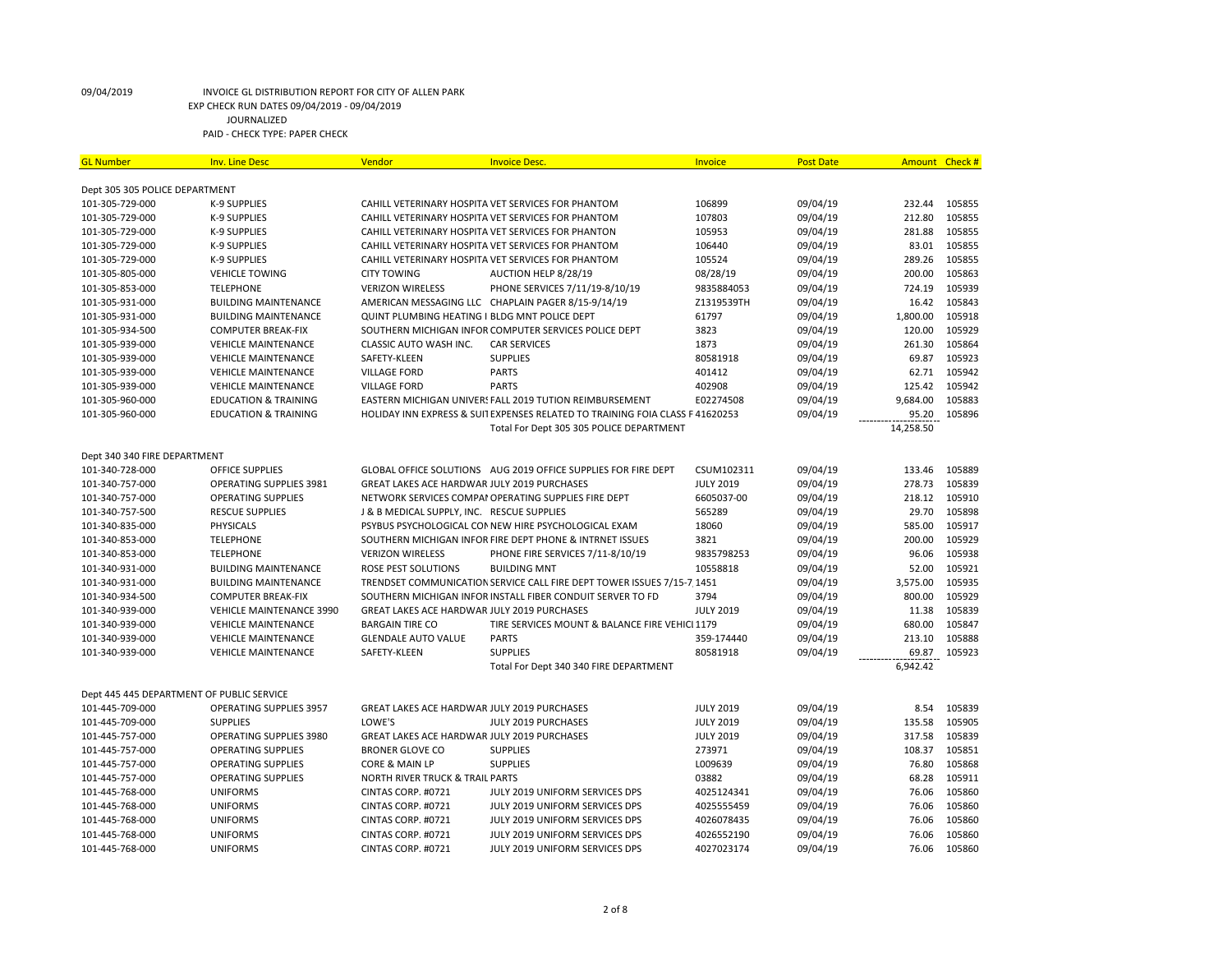| <b>GL Number</b>                          | <b>Inv. Line Desc</b>           | Vendor                                             | <b>Invoice Desc.</b>                                                          | Invoice          | <b>Post Date</b> | <b>Amount</b> | Check # |
|-------------------------------------------|---------------------------------|----------------------------------------------------|-------------------------------------------------------------------------------|------------------|------------------|---------------|---------|
|                                           |                                 |                                                    |                                                                               |                  |                  |               |         |
| Dept 305 305 POLICE DEPARTMENT            |                                 |                                                    |                                                                               |                  |                  |               |         |
| 101-305-729-000                           | K-9 SUPPLIES                    |                                                    | CAHILL VETERINARY HOSPITA VET SERVICES FOR PHANTOM                            | 106899           | 09/04/19         | 232.44        | 105855  |
| 101-305-729-000                           | K-9 SUPPLIES                    |                                                    | CAHILL VETERINARY HOSPITA VET SERVICES FOR PHANTOM                            | 107803           | 09/04/19         | 212.80        | 105855  |
| 101-305-729-000                           | K-9 SUPPLIES                    |                                                    | CAHILL VETERINARY HOSPITA VET SERVICES FOR PHANTON                            | 105953           | 09/04/19         | 281.88        | 105855  |
| 101-305-729-000                           | K-9 SUPPLIES                    |                                                    | CAHILL VETERINARY HOSPITA VET SERVICES FOR PHANTOM                            | 106440           | 09/04/19         | 83.01         | 105855  |
| 101-305-729-000                           | <b>K-9 SUPPLIES</b>             |                                                    | CAHILL VETERINARY HOSPITA VET SERVICES FOR PHANTOM                            | 105524           | 09/04/19         | 289.26        | 105855  |
| 101-305-805-000                           | <b>VEHICLE TOWING</b>           | <b>CITY TOWING</b>                                 | AUCTION HELP 8/28/19                                                          | 08/28/19         | 09/04/19         | 200.00        | 105863  |
| 101-305-853-000                           | <b>TELEPHONE</b>                | <b>VERIZON WIRELESS</b>                            | PHONE SERVICES 7/11/19-8/10/19                                                | 9835884053       | 09/04/19         | 724.19        | 105939  |
| 101-305-931-000                           | <b>BUILDING MAINTENANCE</b>     |                                                    | AMERICAN MESSAGING LLC CHAPLAIN PAGER 8/15-9/14/19                            | Z1319539TH       | 09/04/19         | 16.42         | 105843  |
| 101-305-931-000                           | <b>BUILDING MAINTENANCE</b>     | QUINT PLUMBING HEATING I BLDG MNT POLICE DEPT      |                                                                               | 61797            | 09/04/19         | 1,800.00      | 105918  |
| 101-305-934-500                           | <b>COMPUTER BREAK-FIX</b>       |                                                    | SOUTHERN MICHIGAN INFOR COMPUTER SERVICES POLICE DEPT                         | 3823             | 09/04/19         | 120.00        | 105929  |
| 101-305-939-000                           | <b>VEHICLE MAINTENANCE</b>      | CLASSIC AUTO WASH INC.                             | <b>CAR SERVICES</b>                                                           | 1873             | 09/04/19         | 261.30        | 105864  |
| 101-305-939-000                           | <b>VEHICLE MAINTENANCE</b>      | SAFETY-KLEEN                                       | <b>SUPPLIES</b>                                                               | 80581918         | 09/04/19         | 69.87         | 105923  |
| 101-305-939-000                           | <b>VEHICLE MAINTENANCE</b>      | <b>VILLAGE FORD</b>                                | <b>PARTS</b>                                                                  | 401412           | 09/04/19         | 62.71         | 105942  |
| 101-305-939-000                           | <b>VEHICLE MAINTENANCE</b>      | <b>VILLAGE FORD</b>                                | <b>PARTS</b>                                                                  | 402908           | 09/04/19         | 125.42        | 105942  |
| 101-305-960-000                           | <b>EDUCATION &amp; TRAINING</b> |                                                    | EASTERN MICHIGAN UNIVERS FALL 2019 TUTION REIMBURSEMENT                       | E02274508        | 09/04/19         | 9,684.00      | 105883  |
| 101-305-960-000                           | <b>EDUCATION &amp; TRAINING</b> |                                                    | HOLIDAY INN EXPRESS & SUIT EXPENSES RELATED TO TRAINING FOIA CLASS F 41620253 |                  | 09/04/19         | 95.20         | 105896  |
|                                           |                                 |                                                    | Total For Dept 305 305 POLICE DEPARTMENT                                      |                  |                  | 14,258.50     |         |
|                                           |                                 |                                                    |                                                                               |                  |                  |               |         |
| Dept 340 340 FIRE DEPARTMENT              |                                 |                                                    |                                                                               |                  |                  |               |         |
| 101-340-728-000                           | <b>OFFICE SUPPLIES</b>          |                                                    | GLOBAL OFFICE SOLUTIONS  AUG 2019 OFFICE SUPPLIES FOR FIRE DEPT               | CSUM102311       | 09/04/19         | 133.46        | 105889  |
| 101-340-757-000                           | OPERATING SUPPLIES 3981         | <b>GREAT LAKES ACE HARDWAR JULY 2019 PURCHASES</b> |                                                                               | <b>JULY 2019</b> | 09/04/19         | 278.73        | 105839  |
| 101-340-757-000                           | <b>OPERATING SUPPLIES</b>       |                                                    | NETWORK SERVICES COMPAI OPERATING SUPPLIES FIRE DEPT                          | 6605037-00       | 09/04/19         | 218.12        | 105910  |
| 101-340-757-500                           | <b>RESCUE SUPPLIES</b>          | J & B MEDICAL SUPPLY, INC. RESCUE SUPPLIES         |                                                                               | 565289           | 09/04/19         | 29.70         | 105898  |
| 101-340-835-000                           | <b>PHYSICALS</b>                |                                                    | PSYBUS PSYCHOLOGICAL CONNEW HIRE PSYCHOLOGICAL EXAM                           | 18060            | 09/04/19         | 585.00        | 105917  |
| 101-340-853-000                           | <b>TELEPHONE</b>                |                                                    | SOUTHERN MICHIGAN INFOR FIRE DEPT PHONE & INTRNET ISSUES                      | 3821             | 09/04/19         | 200.00        | 105929  |
| 101-340-853-000                           | <b>TELEPHONE</b>                | <b>VERIZON WIRELESS</b>                            | PHONE FIRE SERVICES 7/11-8/10/19                                              | 9835798253       | 09/04/19         | 96.06         | 105938  |
| 101-340-931-000                           | <b>BUILDING MAINTENANCE</b>     | <b>ROSE PEST SOLUTIONS</b>                         | <b>BUILDING MNT</b>                                                           | 10558818         | 09/04/19         | 52.00         | 105921  |
| 101-340-931-000                           | <b>BUILDING MAINTENANCE</b>     |                                                    | TRENDSET COMMUNICATION SERVICE CALL FIRE DEPT TOWER ISSUES 7/15-7 1451        |                  | 09/04/19         | 3,575.00      | 105935  |
| 101-340-934-500                           | <b>COMPUTER BREAK-FIX</b>       |                                                    | SOUTHERN MICHIGAN INFOR INSTALL FIBER CONDUIT SERVER TO FD                    | 3794             | 09/04/19         | 800.00        | 105929  |
| 101-340-939-000                           | <b>VEHICLE MAINTENANCE 3990</b> | GREAT LAKES ACE HARDWAR JULY 2019 PURCHASES        |                                                                               | <b>JULY 2019</b> | 09/04/19         | 11.38         | 105839  |
| 101-340-939-000                           | <b>VEHICLE MAINTENANCE</b>      | <b>BARGAIN TIRE CO</b>                             | TIRE SERVICES MOUNT & BALANCE FIRE VEHICI 1179                                |                  | 09/04/19         | 680.00        | 105847  |
| 101-340-939-000                           | <b>VEHICLE MAINTENANCE</b>      | <b>GLENDALE AUTO VALUE</b>                         | <b>PARTS</b>                                                                  | 359-174440       | 09/04/19         | 213.10        | 105888  |
| 101-340-939-000                           | <b>VEHICLE MAINTENANCE</b>      | SAFETY-KLEEN                                       | <b>SUPPLIES</b>                                                               | 80581918         | 09/04/19         | 69.87         | 105923  |
|                                           |                                 |                                                    | Total For Dept 340 340 FIRE DEPARTMENT                                        |                  |                  | 6,942.42      |         |
| Dept 445 445 DEPARTMENT OF PUBLIC SERVICE |                                 |                                                    |                                                                               |                  |                  |               |         |
| 101-445-709-000                           | <b>OPERATING SUPPLIES 3957</b>  | GREAT LAKES ACE HARDWAR JULY 2019 PURCHASES        |                                                                               | <b>JULY 2019</b> | 09/04/19         | 8.54          | 105839  |
| 101-445-709-000                           | <b>SUPPLIES</b>                 | LOWE'S                                             | JULY 2019 PURCHASES                                                           | <b>JULY 2019</b> | 09/04/19         | 135.58        | 105905  |
| 101-445-757-000                           | OPERATING SUPPLIES 3980         | GREAT LAKES ACE HARDWAR JULY 2019 PURCHASES        |                                                                               | <b>JULY 2019</b> | 09/04/19         | 317.58        | 105839  |
| 101-445-757-000                           | <b>OPERATING SUPPLIES</b>       | <b>BRONER GLOVE CO</b>                             | <b>SUPPLIES</b>                                                               | 273971           | 09/04/19         | 108.37        | 105851  |
| 101-445-757-000                           | <b>OPERATING SUPPLIES</b>       | CORE & MAIN LP                                     | <b>SUPPLIES</b>                                                               | L009639          | 09/04/19         | 76.80         | 105868  |
| 101-445-757-000                           | <b>OPERATING SUPPLIES</b>       | <b>NORTH RIVER TRUCK &amp; TRAIL PARTS</b>         |                                                                               | 03882            | 09/04/19         | 68.28         | 105911  |
| 101-445-768-000                           | <b>UNIFORMS</b>                 | CINTAS CORP. #0721                                 | JULY 2019 UNIFORM SERVICES DPS                                                | 4025124341       | 09/04/19         | 76.06         | 105860  |
| 101-445-768-000                           | <b>UNIFORMS</b>                 | CINTAS CORP. #0721                                 | JULY 2019 UNIFORM SERVICES DPS                                                | 4025555459       | 09/04/19         | 76.06         | 105860  |
| 101-445-768-000                           | <b>UNIFORMS</b>                 | CINTAS CORP. #0721                                 | JULY 2019 UNIFORM SERVICES DPS                                                | 4026078435       | 09/04/19         | 76.06         | 105860  |
| 101-445-768-000                           | <b>UNIFORMS</b>                 | CINTAS CORP. #0721                                 | JULY 2019 UNIFORM SERVICES DPS                                                | 4026552190       | 09/04/19         | 76.06         | 105860  |
|                                           | <b>UNIFORMS</b>                 | CINTAS CORP. #0721                                 | JULY 2019 UNIFORM SERVICES DPS                                                | 4027023174       | 09/04/19         | 76.06         | 105860  |
| 101-445-768-000                           |                                 |                                                    |                                                                               |                  |                  |               |         |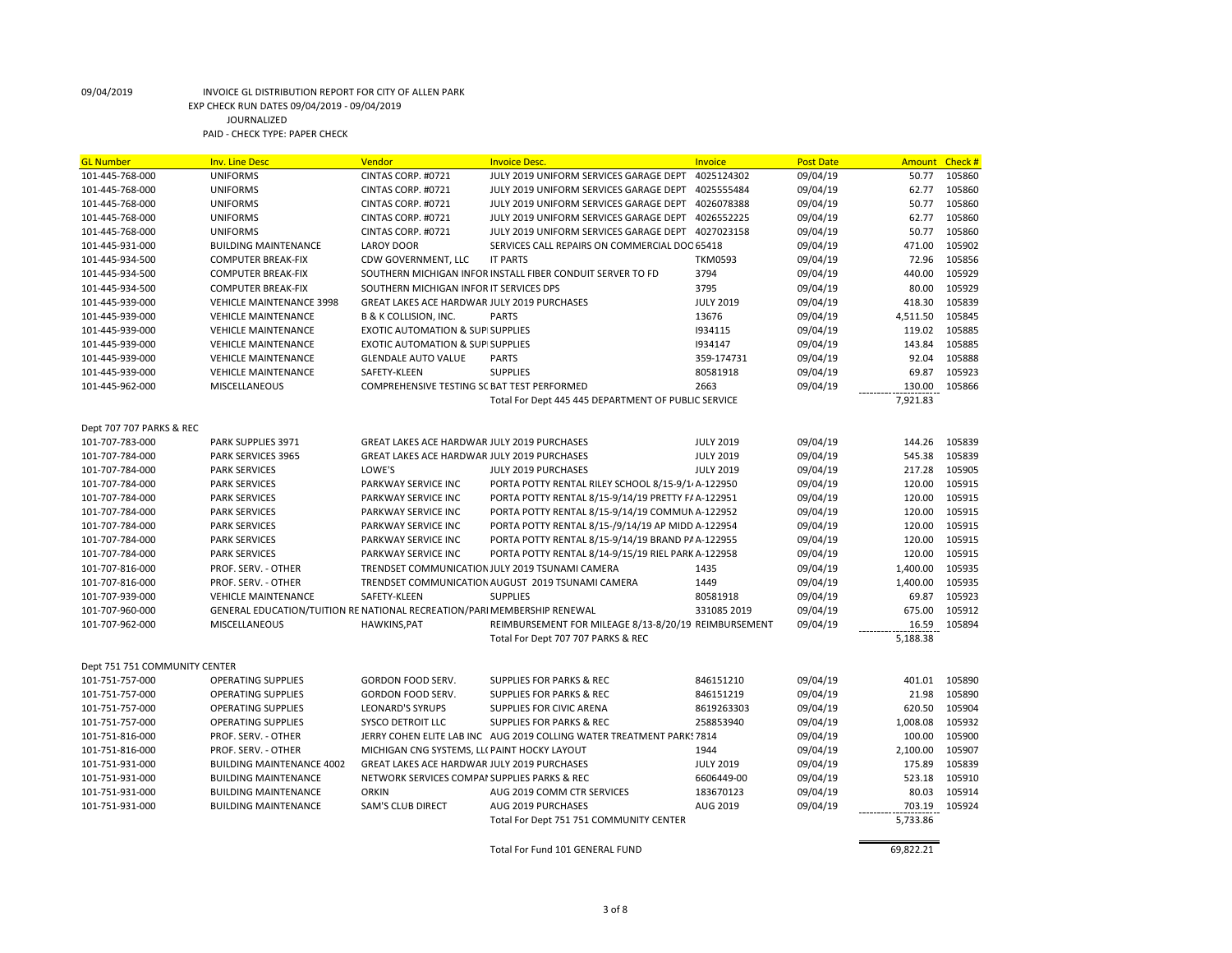| <b>GL Number</b>              | <b>Inv. Line Desc</b>                                                    | Vendor                                       | <b>Invoice Desc.</b>                                                  | Invoice          | <b>Post Date</b> | <b>Amount</b> | Check # |
|-------------------------------|--------------------------------------------------------------------------|----------------------------------------------|-----------------------------------------------------------------------|------------------|------------------|---------------|---------|
| 101-445-768-000               | <b>UNIFORMS</b>                                                          | CINTAS CORP. #0721                           | JULY 2019 UNIFORM SERVICES GARAGE DEPT                                | 4025124302       | 09/04/19         | 50.77         | 105860  |
| 101-445-768-000               | <b>UNIFORMS</b>                                                          | CINTAS CORP. #0721                           | JULY 2019 UNIFORM SERVICES GARAGE DEPT                                | 4025555484       | 09/04/19         | 62.77         | 105860  |
| 101-445-768-000               | <b>UNIFORMS</b>                                                          | CINTAS CORP. #0721                           | JULY 2019 UNIFORM SERVICES GARAGE DEPT                                | 4026078388       | 09/04/19         | 50.77         | 105860  |
| 101-445-768-000               | <b>UNIFORMS</b>                                                          | CINTAS CORP. #0721                           | JULY 2019 UNIFORM SERVICES GARAGE DEPT                                | 4026552225       | 09/04/19         | 62.77         | 105860  |
| 101-445-768-000               | <b>UNIFORMS</b>                                                          | CINTAS CORP. #0721                           | JULY 2019 UNIFORM SERVICES GARAGE DEPT                                | 4027023158       | 09/04/19         | 50.77         | 105860  |
| 101-445-931-000               | <b>BUILDING MAINTENANCE</b>                                              | <b>LAROY DOOR</b>                            | SERVICES CALL REPAIRS ON COMMERCIAL DOC 65418                         |                  | 09/04/19         | 471.00        | 105902  |
| 101-445-934-500               | <b>COMPUTER BREAK-FIX</b>                                                | CDW GOVERNMENT, LLC                          | <b>IT PARTS</b>                                                       | <b>TKM0593</b>   | 09/04/19         | 72.96         | 105856  |
| 101-445-934-500               | <b>COMPUTER BREAK-FIX</b>                                                |                                              | SOUTHERN MICHIGAN INFOR INSTALL FIBER CONDUIT SERVER TO FD            | 3794             | 09/04/19         | 440.00        | 105929  |
| 101-445-934-500               | <b>COMPUTER BREAK-FIX</b>                                                | SOUTHERN MICHIGAN INFOR IT SERVICES DPS      |                                                                       | 3795             | 09/04/19         | 80.00         | 105929  |
| 101-445-939-000               | <b>VEHICLE MAINTENANCE 3998</b>                                          | GREAT LAKES ACE HARDWAR JULY 2019 PURCHASES  |                                                                       | <b>JULY 2019</b> | 09/04/19         | 418.30        | 105839  |
| 101-445-939-000               | <b>VEHICLE MAINTENANCE</b>                                               | <b>B &amp; K COLLISION, INC.</b>             | <b>PARTS</b>                                                          | 13676            | 09/04/19         | 4,511.50      | 105845  |
| 101-445-939-000               | <b>VEHICLE MAINTENANCE</b>                                               | <b>EXOTIC AUTOMATION &amp; SUP SUPPLIES</b>  |                                                                       | 1934115          | 09/04/19         | 119.02        | 105885  |
| 101-445-939-000               | <b>VEHICLE MAINTENANCE</b>                                               | <b>EXOTIC AUTOMATION &amp; SUP SUPPLIES</b>  |                                                                       | 1934147          | 09/04/19         | 143.84        | 105885  |
| 101-445-939-000               | <b>VEHICLE MAINTENANCE</b>                                               | <b>GLENDALE AUTO VALUE</b>                   | <b>PARTS</b>                                                          | 359-174731       | 09/04/19         | 92.04         | 105888  |
| 101-445-939-000               | <b>VEHICLE MAINTENANCE</b>                                               | SAFETY-KLEEN                                 | <b>SUPPLIES</b>                                                       | 80581918         | 09/04/19         | 69.87         | 105923  |
| 101-445-962-000               | MISCELLANEOUS                                                            | COMPREHENSIVE TESTING SC BAT TEST PERFORMED  |                                                                       | 2663             | 09/04/19         | 130.00        | 105866  |
|                               |                                                                          |                                              | Total For Dept 445 445 DEPARTMENT OF PUBLIC SERVICE                   |                  |                  | 7,921.83      |         |
|                               |                                                                          |                                              |                                                                       |                  |                  |               |         |
| Dept 707 707 PARKS & REC      |                                                                          |                                              |                                                                       |                  |                  |               |         |
| 101-707-783-000               | PARK SUPPLIES 3971                                                       | GREAT LAKES ACE HARDWAR JULY 2019 PURCHASES  |                                                                       | <b>JULY 2019</b> | 09/04/19         | 144.26        | 105839  |
| 101-707-784-000               | PARK SERVICES 3965                                                       | GREAT LAKES ACE HARDWAR JULY 2019 PURCHASES  |                                                                       | <b>JULY 2019</b> | 09/04/19         | 545.38        | 105839  |
| 101-707-784-000               | <b>PARK SERVICES</b>                                                     | LOWE'S                                       | JULY 2019 PURCHASES                                                   | <b>JULY 2019</b> | 09/04/19         | 217.28        | 105905  |
| 101-707-784-000               | <b>PARK SERVICES</b>                                                     | PARKWAY SERVICE INC                          | PORTA POTTY RENTAL RILEY SCHOOL 8/15-9/1 A-122950                     |                  | 09/04/19         | 120.00        | 105915  |
| 101-707-784-000               | <b>PARK SERVICES</b>                                                     | PARKWAY SERVICE INC                          | PORTA POTTY RENTAL 8/15-9/14/19 PRETTY F/ A-122951                    |                  | 09/04/19         | 120.00        | 105915  |
| 101-707-784-000               | <b>PARK SERVICES</b>                                                     | PARKWAY SERVICE INC                          | PORTA POTTY RENTAL 8/15-9/14/19 COMMUN A-122952                       |                  | 09/04/19         | 120.00        | 105915  |
| 101-707-784-000               | <b>PARK SERVICES</b>                                                     | PARKWAY SERVICE INC                          | PORTA POTTY RENTAL 8/15-/9/14/19 AP MIDD A-122954                     |                  | 09/04/19         | 120.00        | 105915  |
| 101-707-784-000               | <b>PARK SERVICES</b>                                                     | PARKWAY SERVICE INC                          | PORTA POTTY RENTAL 8/15-9/14/19 BRAND P/ A-122955                     |                  | 09/04/19         | 120.00        | 105915  |
| 101-707-784-000               | <b>PARK SERVICES</b>                                                     | PARKWAY SERVICE INC                          | PORTA POTTY RENTAL 8/14-9/15/19 RIEL PARK A-122958                    |                  | 09/04/19         | 120.00        | 105915  |
| 101-707-816-000               | PROF. SERV. - OTHER                                                      |                                              | TRENDSET COMMUNICATION JULY 2019 TSUNAMI CAMERA                       | 1435             | 09/04/19         | 1,400.00      | 105935  |
|                               |                                                                          |                                              | TRENDSET COMMUNICATION AUGUST 2019 TSUNAMI CAMERA                     | 1449             | 09/04/19         | 1,400.00      | 105935  |
| 101-707-816-000               | PROF. SERV. - OTHER                                                      | SAFETY-KLEEN                                 | <b>SUPPLIES</b>                                                       |                  |                  |               | 105923  |
| 101-707-939-000               | <b>VEHICLE MAINTENANCE</b>                                               |                                              |                                                                       | 80581918         | 09/04/19         | 69.87         | 105912  |
| 101-707-960-000               | GENERAL EDUCATION/TUITION RE NATIONAL RECREATION/PARI MEMBERSHIP RENEWAL |                                              |                                                                       | 331085 2019      | 09/04/19         | 675.00        |         |
| 101-707-962-000               | <b>MISCELLANEOUS</b>                                                     | <b>HAWKINS, PAT</b>                          | REIMBURSEMENT FOR MILEAGE 8/13-8/20/19 REIMBURSEMENT                  |                  | 09/04/19         | 16.59         | 105894  |
|                               |                                                                          |                                              | Total For Dept 707 707 PARKS & REC                                    |                  |                  | 5,188.38      |         |
|                               |                                                                          |                                              |                                                                       |                  |                  |               |         |
| Dept 751 751 COMMUNITY CENTER |                                                                          |                                              |                                                                       |                  |                  |               |         |
| 101-751-757-000               | <b>OPERATING SUPPLIES</b>                                                | GORDON FOOD SERV.                            | <b>SUPPLIES FOR PARKS &amp; REC</b>                                   | 846151210        | 09/04/19         | 401.01        | 105890  |
| 101-751-757-000               | <b>OPERATING SUPPLIES</b>                                                | GORDON FOOD SERV.                            | <b>SUPPLIES FOR PARKS &amp; REC</b>                                   | 846151219        | 09/04/19         | 21.98         | 105890  |
| 101-751-757-000               | <b>OPERATING SUPPLIES</b>                                                | <b>LEONARD'S SYRUPS</b>                      | SUPPLIES FOR CIVIC ARENA                                              | 8619263303       | 09/04/19         | 620.50        | 105904  |
| 101-751-757-000               | <b>OPERATING SUPPLIES</b>                                                | SYSCO DETROIT LLC                            | <b>SUPPLIES FOR PARKS &amp; REC</b>                                   | 258853940        | 09/04/19         | 1,008.08      | 105932  |
| 101-751-816-000               | PROF. SERV. - OTHER                                                      |                                              | JERRY COHEN ELITE LAB INC AUG 2019 COLLING WATER TREATMENT PARKS 7814 |                  | 09/04/19         | 100.00        | 105900  |
| 101-751-816-000               | PROF. SERV. - OTHER                                                      | MICHIGAN CNG SYSTEMS, LL( PAINT HOCKY LAYOUT |                                                                       | 1944             | 09/04/19         | 2,100.00      | 105907  |
| 101-751-931-000               | <b>BUILDING MAINTENANCE 4002</b>                                         | GREAT LAKES ACE HARDWAR JULY 2019 PURCHASES  |                                                                       | <b>JULY 2019</b> | 09/04/19         | 175.89        | 105839  |
| 101-751-931-000               | <b>BUILDING MAINTENANCE</b>                                              | NETWORK SERVICES COMPAI SUPPLIES PARKS & REC |                                                                       | 6606449-00       | 09/04/19         | 523.18        | 105910  |
| 101-751-931-000               | <b>BUILDING MAINTENANCE</b>                                              | <b>ORKIN</b>                                 | AUG 2019 COMM CTR SERVICES                                            | 183670123        | 09/04/19         | 80.03         | 105914  |
| 101-751-931-000               | <b>BUILDING MAINTENANCE</b>                                              | SAM'S CLUB DIRECT                            | AUG 2019 PURCHASES                                                    | AUG 2019         | 09/04/19         | 703.19        | 105924  |
|                               |                                                                          |                                              | Total For Dept 751 751 COMMUNITY CENTER                               |                  |                  | 5,733.86      |         |
|                               |                                                                          |                                              |                                                                       |                  |                  |               |         |
|                               |                                                                          |                                              | Total For Fund 101 GENERAL FUND                                       |                  |                  | 69,822.21     |         |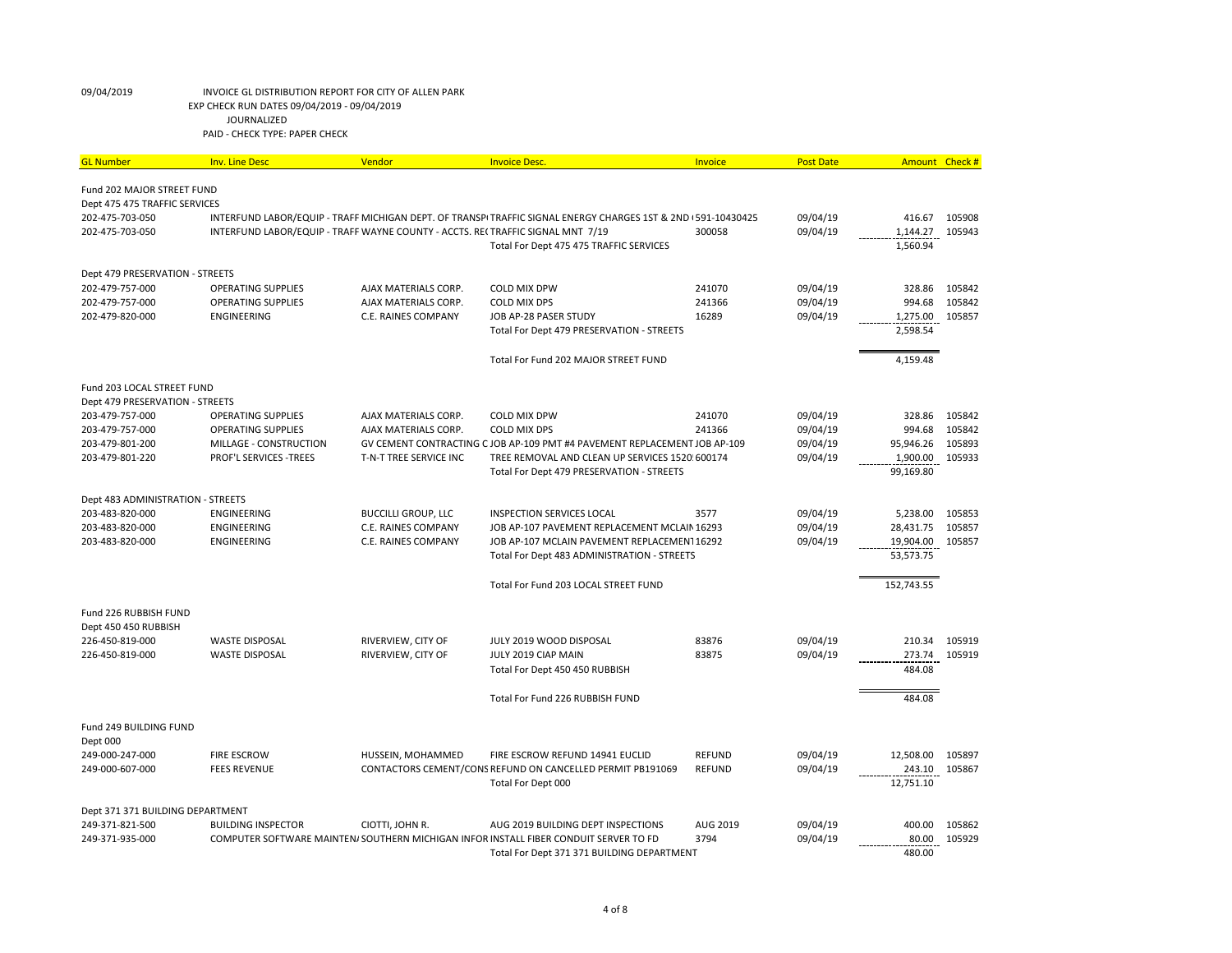| <b>GL Number</b>                                            | <b>Inv. Line Desc</b>                                                          | Vendor                     | <b>Invoice Desc.</b>                                                                                          | Invoice       | <b>Post Date</b> | Amount     | Check # |
|-------------------------------------------------------------|--------------------------------------------------------------------------------|----------------------------|---------------------------------------------------------------------------------------------------------------|---------------|------------------|------------|---------|
|                                                             |                                                                                |                            |                                                                                                               |               |                  |            |         |
| Fund 202 MAJOR STREET FUND<br>Dept 475 475 TRAFFIC SERVICES |                                                                                |                            |                                                                                                               |               |                  |            |         |
| 202-475-703-050                                             |                                                                                |                            | INTERFUND LABOR/EQUIP - TRAFF MICHIGAN DEPT. OF TRANSPITRAFFIC SIGNAL ENERGY CHARGES 1ST & 2ND I 591-10430425 |               | 09/04/19         | 416.67     | 105908  |
| 202-475-703-050                                             | INTERFUND LABOR/EQUIP - TRAFF WAYNE COUNTY - ACCTS. RE(TRAFFIC SIGNAL MNT 7/19 |                            |                                                                                                               | 300058        | 09/04/19         | 1,144.27   | 105943  |
|                                                             |                                                                                |                            | Total For Dept 475 475 TRAFFIC SERVICES                                                                       |               |                  | 1,560.94   |         |
|                                                             |                                                                                |                            |                                                                                                               |               |                  |            |         |
| Dept 479 PRESERVATION - STREETS                             |                                                                                |                            |                                                                                                               |               |                  |            |         |
| 202-479-757-000                                             | <b>OPERATING SUPPLIES</b>                                                      | AJAX MATERIALS CORP.       | <b>COLD MIX DPW</b>                                                                                           | 241070        | 09/04/19         | 328.86     | 105842  |
| 202-479-757-000                                             | <b>OPERATING SUPPLIES</b>                                                      | AJAX MATERIALS CORP.       | <b>COLD MIX DPS</b>                                                                                           | 241366        | 09/04/19         | 994.68     | 105842  |
| 202-479-820-000                                             | ENGINEERING                                                                    | C.E. RAINES COMPANY        | JOB AP-28 PASER STUDY                                                                                         | 16289         | 09/04/19         | 1,275.00   | 105857  |
|                                                             |                                                                                |                            | Total For Dept 479 PRESERVATION - STREETS                                                                     |               |                  | 2,598.54   |         |
|                                                             |                                                                                |                            | Total For Fund 202 MAJOR STREET FUND                                                                          |               |                  | 4,159.48   |         |
| Fund 203 LOCAL STREET FUND                                  |                                                                                |                            |                                                                                                               |               |                  |            |         |
| Dept 479 PRESERVATION - STREETS                             |                                                                                |                            |                                                                                                               |               |                  |            |         |
| 203-479-757-000                                             | <b>OPERATING SUPPLIES</b>                                                      | AJAX MATERIALS CORP.       | <b>COLD MIX DPW</b>                                                                                           | 241070        | 09/04/19         | 328.86     | 105842  |
| 203-479-757-000                                             | <b>OPERATING SUPPLIES</b>                                                      | AJAX MATERIALS CORP.       | <b>COLD MIX DPS</b>                                                                                           | 241366        | 09/04/19         | 994.68     | 105842  |
| 203-479-801-200                                             | MILLAGE - CONSTRUCTION                                                         |                            | GV CEMENT CONTRACTING CJOB AP-109 PMT #4 PAVEMENT REPLACEMENT JOB AP-109                                      |               | 09/04/19         | 95,946.26  | 105893  |
| 203-479-801-220                                             | PROF'L SERVICES - TREES                                                        | T-N-T TREE SERVICE INC     | TREE REMOVAL AND CLEAN UP SERVICES 1520 600174                                                                |               | 09/04/19         | 1,900.00   | 105933  |
|                                                             |                                                                                |                            | Total For Dept 479 PRESERVATION - STREETS                                                                     |               |                  | 99,169.80  |         |
| Dept 483 ADMINISTRATION - STREETS                           |                                                                                |                            |                                                                                                               |               |                  |            |         |
| 203-483-820-000                                             | ENGINEERING                                                                    | <b>BUCCILLI GROUP, LLC</b> | INSPECTION SERVICES LOCAL                                                                                     | 3577          | 09/04/19         | 5,238.00   | 105853  |
| 203-483-820-000                                             | ENGINEERING                                                                    | C.E. RAINES COMPANY        | JOB AP-107 PAVEMENT REPLACEMENT MCLAIN 16293                                                                  |               | 09/04/19         | 28,431.75  | 105857  |
| 203-483-820-000                                             | ENGINEERING                                                                    | <b>C.E. RAINES COMPANY</b> | JOB AP-107 MCLAIN PAVEMENT REPLACEMENT 16292                                                                  |               | 09/04/19         | 19,904.00  | 105857  |
|                                                             |                                                                                |                            | Total For Dept 483 ADMINISTRATION - STREETS                                                                   |               |                  | 53,573.75  |         |
|                                                             |                                                                                |                            |                                                                                                               |               |                  |            |         |
|                                                             |                                                                                |                            | Total For Fund 203 LOCAL STREET FUND                                                                          |               |                  | 152,743.55 |         |
| Fund 226 RUBBISH FUND                                       |                                                                                |                            |                                                                                                               |               |                  |            |         |
| Dept 450 450 RUBBISH                                        |                                                                                |                            |                                                                                                               |               |                  |            |         |
| 226-450-819-000                                             | <b>WASTE DISPOSAL</b>                                                          | RIVERVIEW, CITY OF         | JULY 2019 WOOD DISPOSAL                                                                                       | 83876         | 09/04/19         | 210.34     | 105919  |
| 226-450-819-000                                             | <b>WASTE DISPOSAL</b>                                                          | RIVERVIEW, CITY OF         | JULY 2019 CIAP MAIN                                                                                           | 83875         | 09/04/19         | 273.74     | 105919  |
|                                                             |                                                                                |                            | Total For Dept 450 450 RUBBISH                                                                                |               |                  | 484.08     |         |
|                                                             |                                                                                |                            |                                                                                                               |               |                  |            |         |
|                                                             |                                                                                |                            | Total For Fund 226 RUBBISH FUND                                                                               |               |                  | 484.08     |         |
| Fund 249 BUILDING FUND                                      |                                                                                |                            |                                                                                                               |               |                  |            |         |
| Dept 000                                                    |                                                                                |                            |                                                                                                               |               |                  |            |         |
| 249-000-247-000                                             | <b>FIRE ESCROW</b>                                                             | HUSSEIN, MOHAMMED          | FIRE ESCROW REFUND 14941 EUCLID                                                                               | <b>REFUND</b> | 09/04/19         | 12,508.00  | 105897  |
| 249-000-607-000                                             | <b>FEES REVENUE</b>                                                            |                            | CONTACTORS CEMENT/CONS REFUND ON CANCELLED PERMIT PB191069                                                    | <b>REFUND</b> | 09/04/19         | 243.10     | 105867  |
|                                                             |                                                                                |                            | Total For Dept 000                                                                                            |               |                  | 12,751.10  |         |
| Dept 371 371 BUILDING DEPARTMENT                            |                                                                                |                            |                                                                                                               |               |                  |            |         |
| 249-371-821-500                                             | <b>BUILDING INSPECTOR</b>                                                      | CIOTTI, JOHN R.            | AUG 2019 BUILDING DEPT INSPECTIONS                                                                            | AUG 2019      | 09/04/19         | 400.00     | 105862  |
| 249-371-935-000                                             |                                                                                |                            | COMPUTER SOFTWARE MAINTEN/SOUTHERN MICHIGAN INFOR INSTALL FIBER CONDUIT SERVER TO FD                          | 3794          | 09/04/19         | 80.00      | 105929  |
|                                                             |                                                                                |                            | Total For Dept 371 371 BUILDING DEPARTMENT                                                                    |               |                  | 480.00     |         |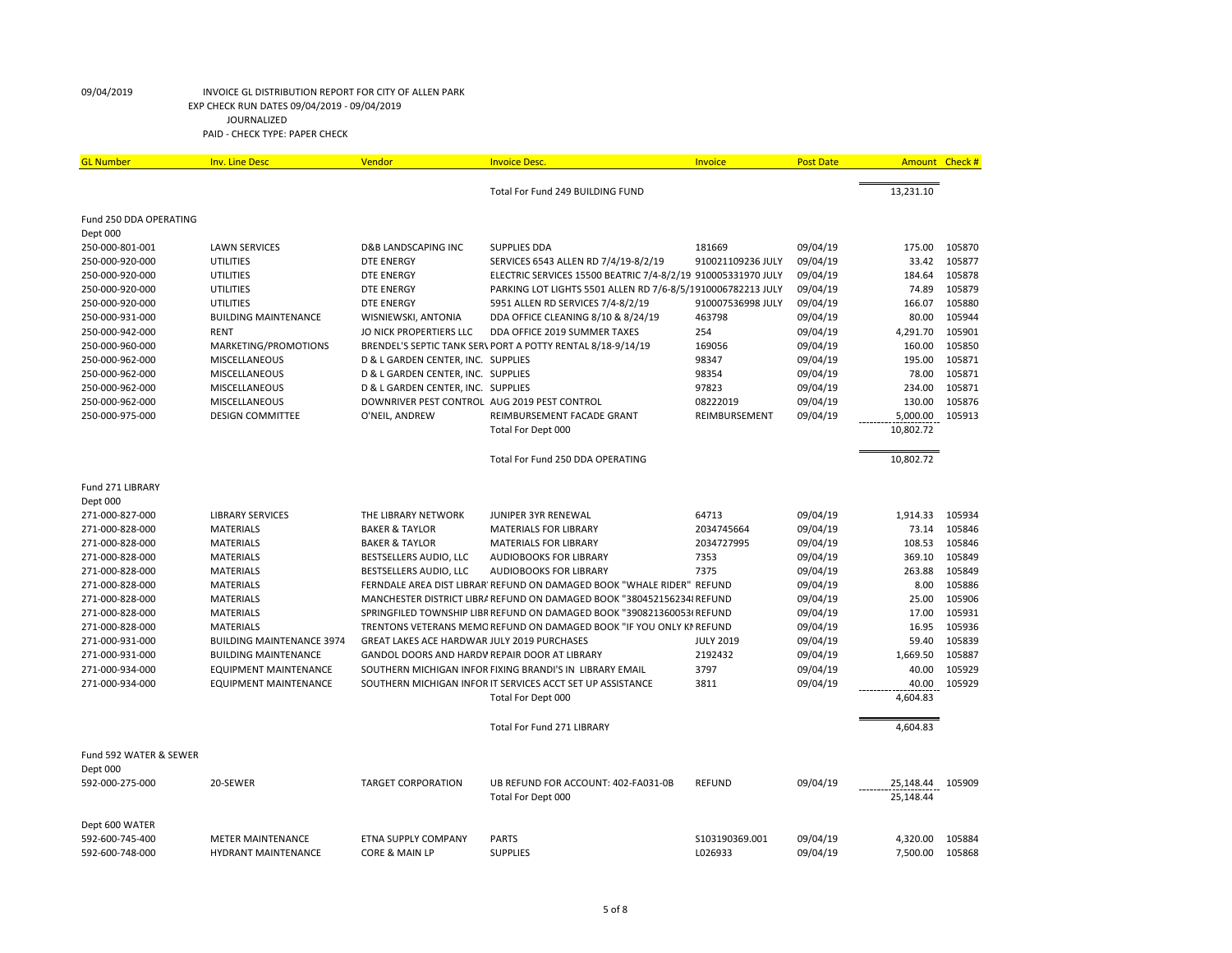| <b>GL Number</b>                   | <b>Inv. Line Desc</b>            | Vendor                                             | <b>Invoice Desc.</b>                                                    | Invoice           | <b>Post Date</b>     | Amount Check #         |                  |
|------------------------------------|----------------------------------|----------------------------------------------------|-------------------------------------------------------------------------|-------------------|----------------------|------------------------|------------------|
|                                    |                                  |                                                    | Total For Fund 249 BUILDING FUND                                        |                   |                      | 13,231.10              |                  |
| Fund 250 DDA OPERATING             |                                  |                                                    |                                                                         |                   |                      |                        |                  |
| Dept 000                           |                                  |                                                    |                                                                         |                   |                      |                        |                  |
| 250-000-801-001                    | <b>LAWN SERVICES</b>             | <b>D&amp;B LANDSCAPING INC</b>                     | <b>SUPPLIES DDA</b>                                                     | 181669            | 09/04/19             | 175.00                 | 105870           |
| 250-000-920-000                    | <b>UTILITIES</b>                 | <b>DTE ENERGY</b>                                  | SERVICES 6543 ALLEN RD 7/4/19-8/2/19                                    | 910021109236 JULY | 09/04/19             | 33.42                  | 105877           |
| 250-000-920-000                    | UTILITIES                        | <b>DTE ENERGY</b>                                  | ELECTRIC SERVICES 15500 BEATRIC 7/4-8/2/19 910005331970 JULY            |                   | 09/04/19             | 184.64                 | 105878           |
| 250-000-920-000<br>250-000-920-000 | UTILITIES<br>UTILITIES           | <b>DTE ENERGY</b>                                  | PARKING LOT LIGHTS 5501 ALLEN RD 7/6-8/5/1910006782213 JULY             | 910007536998 JULY | 09/04/19<br>09/04/19 | 74.89<br>166.07        | 105879<br>105880 |
| 250-000-931-000                    | <b>BUILDING MAINTENANCE</b>      | <b>DTE ENERGY</b><br>WISNIEWSKI, ANTONIA           | 5951 ALLEN RD SERVICES 7/4-8/2/19<br>DDA OFFICE CLEANING 8/10 & 8/24/19 | 463798            | 09/04/19             | 80.00                  | 105944           |
| 250-000-942-000                    | <b>RENT</b>                      | JO NICK PROPERTIERS LLC                            | DDA OFFICE 2019 SUMMER TAXES                                            | 254               | 09/04/19             | 4,291.70               | 105901           |
| 250-000-960-000                    | MARKETING/PROMOTIONS             |                                                    | BRENDEL'S SEPTIC TANK SER\ PORT A POTTY RENTAL 8/18-9/14/19             | 169056            | 09/04/19             | 160.00                 | 105850           |
| 250-000-962-000                    | MISCELLANEOUS                    | D & L GARDEN CENTER, INC. SUPPLIES                 |                                                                         | 98347             | 09/04/19             | 195.00                 | 105871           |
| 250-000-962-000                    | MISCELLANEOUS                    | D & L GARDEN CENTER, INC. SUPPLIES                 |                                                                         | 98354             | 09/04/19             | 78.00                  | 105871           |
| 250-000-962-000                    | MISCELLANEOUS                    | D & L GARDEN CENTER, INC. SUPPLIES                 |                                                                         | 97823             | 09/04/19             | 234.00                 | 105871           |
| 250-000-962-000                    | MISCELLANEOUS                    | DOWNRIVER PEST CONTROL AUG 2019 PEST CONTROL       |                                                                         | 08222019          | 09/04/19             | 130.00                 | 105876           |
| 250-000-975-000                    | <b>DESIGN COMMITTEE</b>          | O'NEIL, ANDREW                                     | REIMBURSEMENT FACADE GRANT                                              | REIMBURSEMENT     | 09/04/19             | 5,000.00               | 105913           |
|                                    |                                  |                                                    | Total For Dept 000                                                      |                   |                      | 10,802.72              |                  |
|                                    |                                  |                                                    | Total For Fund 250 DDA OPERATING                                        |                   |                      | 10,802.72              |                  |
| Fund 271 LIBRARY<br>Dept 000       |                                  |                                                    |                                                                         |                   |                      |                        |                  |
| 271-000-827-000                    | <b>LIBRARY SERVICES</b>          | THE LIBRARY NETWORK                                | JUNIPER 3YR RENEWAL                                                     | 64713             | 09/04/19             | 1,914.33               | 105934           |
| 271-000-828-000                    | <b>MATERIALS</b>                 | <b>BAKER &amp; TAYLOR</b>                          | <b>MATERIALS FOR LIBRARY</b>                                            | 2034745664        | 09/04/19             | 73.14                  | 105846           |
| 271-000-828-000                    | <b>MATERIALS</b>                 | <b>BAKER &amp; TAYLOR</b>                          | <b>MATERIALS FOR LIBRARY</b>                                            | 2034727995        | 09/04/19             | 108.53                 | 105846           |
| 271-000-828-000                    | <b>MATERIALS</b>                 | BESTSELLERS AUDIO, LLC                             | <b>AUDIOBOOKS FOR LIBRARY</b>                                           | 7353              | 09/04/19             | 369.10                 | 105849           |
| 271-000-828-000                    | <b>MATERIALS</b>                 | BESTSELLERS AUDIO, LLC                             | <b>AUDIOBOOKS FOR LIBRARY</b>                                           | 7375              | 09/04/19             | 263.88                 | 105849           |
| 271-000-828-000                    | <b>MATERIALS</b>                 |                                                    | FERNDALE AREA DIST LIBRAR' REFUND ON DAMAGED BOOK "WHALE RIDER" REFUND  |                   | 09/04/19             | 8.00                   | 105886           |
| 271-000-828-000                    | <b>MATERIALS</b>                 |                                                    | MANCHESTER DISTRICT LIBRA REFUND ON DAMAGED BOOK "380452156234 REFUND   |                   | 09/04/19             | 25.00                  | 105906           |
| 271-000-828-000                    | <b>MATERIALS</b>                 |                                                    | SPRINGFILED TOWNSHIP LIBR REFUND ON DAMAGED BOOK "390821360053(REFUND   |                   | 09/04/19             | 17.00                  | 105931           |
| 271-000-828-000                    | <b>MATERIALS</b>                 |                                                    | TRENTONS VETERANS MEMC REFUND ON DAMAGED BOOK "IF YOU ONLY KN REFUND    |                   | 09/04/19             | 16.95                  | 105936           |
| 271-000-931-000                    | <b>BUILDING MAINTENANCE 3974</b> | <b>GREAT LAKES ACE HARDWAR JULY 2019 PURCHASES</b> |                                                                         | <b>JULY 2019</b>  | 09/04/19             | 59.40                  | 105839           |
| 271-000-931-000                    | <b>BUILDING MAINTENANCE</b>      | GANDOL DOORS AND HARDV REPAIR DOOR AT LIBRARY      |                                                                         | 2192432           | 09/04/19             | 1,669.50               | 105887           |
| 271-000-934-000                    | <b>EQUIPMENT MAINTENANCE</b>     |                                                    | SOUTHERN MICHIGAN INFOR FIXING BRANDI'S IN LIBRARY EMAIL                | 3797              | 09/04/19             | 40.00                  | 105929           |
| 271-000-934-000                    | <b>EQUIPMENT MAINTENANCE</b>     |                                                    | SOUTHERN MICHIGAN INFOR IT SERVICES ACCT SET UP ASSISTANCE              | 3811              | 09/04/19             | 40.00                  | 105929           |
|                                    |                                  |                                                    | Total For Dept 000                                                      |                   |                      | 4,604.83               |                  |
|                                    |                                  |                                                    | Total For Fund 271 LIBRARY                                              |                   |                      | 4,604.83               |                  |
| Fund 592 WATER & SEWER             |                                  |                                                    |                                                                         |                   |                      |                        |                  |
| Dept 000                           |                                  |                                                    |                                                                         |                   |                      |                        |                  |
| 592-000-275-000                    | 20-SEWER                         | <b>TARGET CORPORATION</b>                          | UB REFUND FOR ACCOUNT: 402-FA031-0B<br>Total For Dept 000               | <b>REFUND</b>     | 09/04/19             | 25,148.44<br>25,148.44 | 105909           |
| Dept 600 WATER                     |                                  |                                                    |                                                                         |                   |                      |                        |                  |
| 592-600-745-400                    | <b>METER MAINTENANCE</b>         | ETNA SUPPLY COMPANY                                | <b>PARTS</b>                                                            | \$103190369.001   | 09/04/19             | 4,320.00               | 105884           |
| 592-600-748-000                    | <b>HYDRANT MAINTENANCE</b>       | CORE & MAIN LP                                     | <b>SUPPLIES</b>                                                         | L026933           | 09/04/19             | 7,500.00               | 105868           |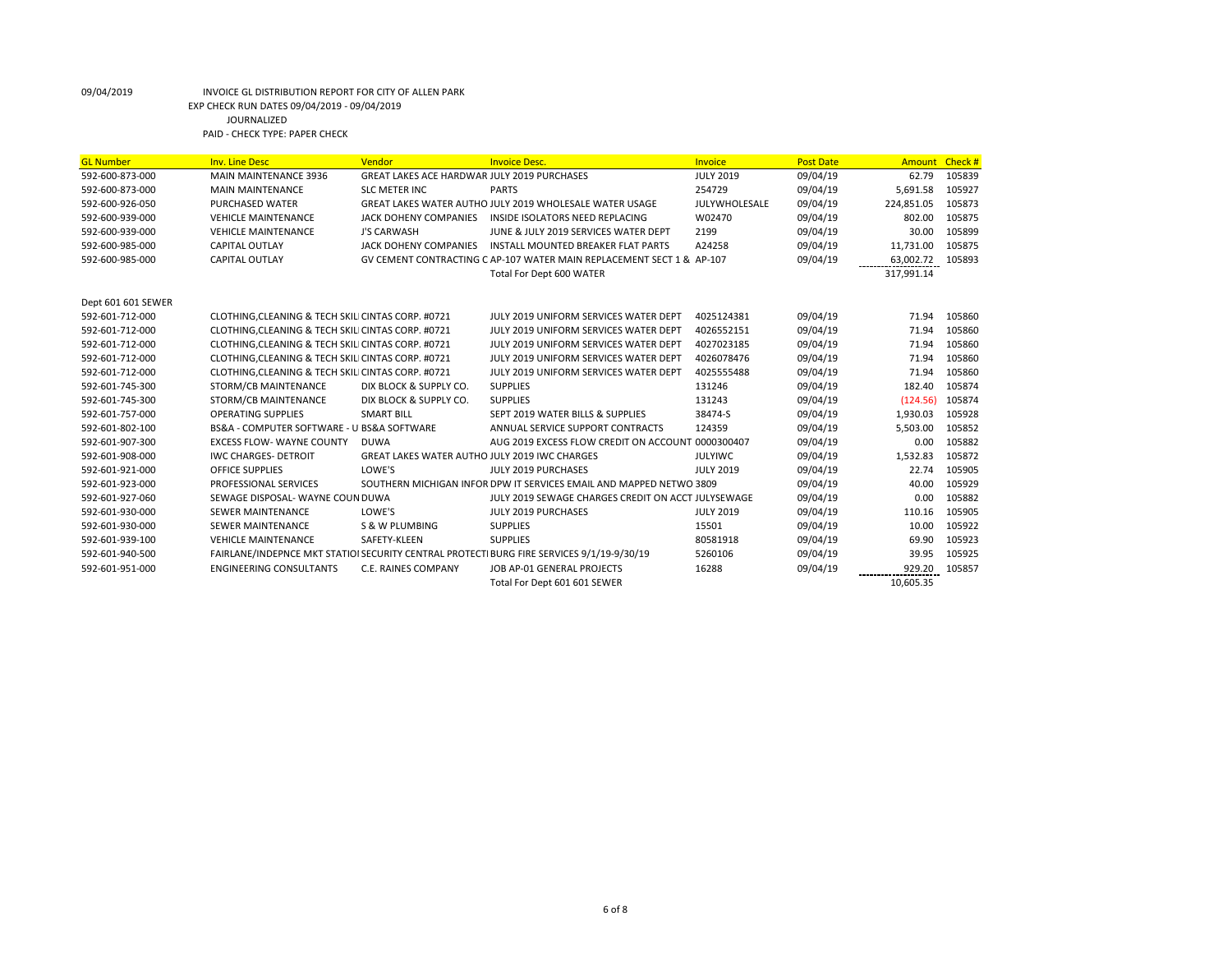| <b>GL Number</b>   | <b>Inv. Line Desc</b>                              | Vendor                                               | <b>Invoice Desc.</b>                                                                      | <b>Invoice</b>   | <b>Post Date</b> | Amount Check # |        |
|--------------------|----------------------------------------------------|------------------------------------------------------|-------------------------------------------------------------------------------------------|------------------|------------------|----------------|--------|
| 592-600-873-000    | MAIN MAINTENANCE 3936                              | GREAT LAKES ACE HARDWAR JULY 2019 PURCHASES          |                                                                                           | <b>JULY 2019</b> | 09/04/19         | 62.79          | 105839 |
| 592-600-873-000    | <b>MAIN MAINTENANCE</b>                            | <b>SLC METER INC</b>                                 | <b>PARTS</b>                                                                              | 254729           | 09/04/19         | 5,691.58       | 105927 |
| 592-600-926-050    | <b>PURCHASED WATER</b>                             |                                                      | GREAT LAKES WATER AUTHO JULY 2019 WHOLESALE WATER USAGE                                   | JULYWHOLESALE    | 09/04/19         | 224,851.05     | 105873 |
| 592-600-939-000    | <b>VEHICLE MAINTENANCE</b>                         | JACK DOHENY COMPANIES                                | INSIDE ISOLATORS NEED REPLACING                                                           | W02470           | 09/04/19         | 802.00         | 105875 |
| 592-600-939-000    | <b>VEHICLE MAINTENANCE</b>                         | J'S CARWASH                                          | JUNE & JULY 2019 SERVICES WATER DEPT                                                      | 2199             | 09/04/19         | 30.00          | 105899 |
| 592-600-985-000    | <b>CAPITAL OUTLAY</b>                              | JACK DOHENY COMPANIES                                | INSTALL MOUNTED BREAKER FLAT PARTS                                                        | A24258           | 09/04/19         | 11,731.00      | 105875 |
| 592-600-985-000    | <b>CAPITAL OUTLAY</b>                              |                                                      | GV CEMENT CONTRACTING C AP-107 WATER MAIN REPLACEMENT SECT 1 & AP-107                     |                  | 09/04/19         | 63,002.72      | 105893 |
|                    |                                                    |                                                      | Total For Dept 600 WATER                                                                  |                  |                  | 317,991.14     |        |
| Dept 601 601 SEWER |                                                    |                                                      |                                                                                           |                  |                  |                |        |
| 592-601-712-000    | CLOTHING, CLEANING & TECH SKILI CINTAS CORP. #0721 |                                                      | JULY 2019 UNIFORM SERVICES WATER DEPT                                                     | 4025124381       | 09/04/19         | 71.94          | 105860 |
| 592-601-712-000    | CLOTHING, CLEANING & TECH SKILI CINTAS CORP. #0721 |                                                      | JULY 2019 UNIFORM SERVICES WATER DEPT                                                     | 4026552151       | 09/04/19         | 71.94          | 105860 |
| 592-601-712-000    | CLOTHING, CLEANING & TECH SKILI CINTAS CORP. #0721 |                                                      | JULY 2019 UNIFORM SERVICES WATER DEPT                                                     | 4027023185       | 09/04/19         | 71.94          | 105860 |
| 592-601-712-000    | CLOTHING, CLEANING & TECH SKILI CINTAS CORP. #0721 |                                                      | JULY 2019 UNIFORM SERVICES WATER DEPT                                                     | 4026078476       | 09/04/19         | 71.94          | 105860 |
| 592-601-712-000    | CLOTHING, CLEANING & TECH SKILI CINTAS CORP. #0721 |                                                      | JULY 2019 UNIFORM SERVICES WATER DEPT                                                     | 4025555488       | 09/04/19         | 71.94          | 105860 |
| 592-601-745-300    | STORM/CB MAINTENANCE                               | DIX BLOCK & SUPPLY CO.                               | <b>SUPPLIES</b>                                                                           | 131246           | 09/04/19         | 182.40         | 105874 |
| 592-601-745-300    | STORM/CB MAINTENANCE                               | DIX BLOCK & SUPPLY CO.                               | <b>SUPPLIES</b>                                                                           | 131243           | 09/04/19         | (124.56)       | 105874 |
| 592-601-757-000    | <b>OPERATING SUPPLIES</b>                          | <b>SMART BILL</b>                                    | SEPT 2019 WATER BILLS & SUPPLIES                                                          | 38474-S          | 09/04/19         | 1,930.03       | 105928 |
| 592-601-802-100    | BS&A - COMPUTER SOFTWARE - U BS&A SOFTWARE         |                                                      | ANNUAL SERVICE SUPPORT CONTRACTS                                                          | 124359           | 09/04/19         | 5,503.00       | 105852 |
| 592-601-907-300    | <b>EXCESS FLOW- WAYNE COUNTY</b>                   | <b>DUWA</b>                                          | AUG 2019 EXCESS FLOW CREDIT ON ACCOUNT 0000300407                                         |                  | 09/04/19         | 0.00           | 105882 |
| 592-601-908-000    | <b>IWC CHARGES- DETROIT</b>                        | <b>GREAT LAKES WATER AUTHO JULY 2019 IWC CHARGES</b> |                                                                                           | <b>JULYIWC</b>   | 09/04/19         | 1,532.83       | 105872 |
| 592-601-921-000    | <b>OFFICE SUPPLIES</b>                             | LOWE'S                                               | JULY 2019 PURCHASES                                                                       | <b>JULY 2019</b> | 09/04/19         | 22.74          | 105905 |
| 592-601-923-000    | PROFESSIONAL SERVICES                              |                                                      | SOUTHERN MICHIGAN INFOR DPW IT SERVICES EMAIL AND MAPPED NETWO 3809                       |                  | 09/04/19         | 40.00          | 105929 |
| 592-601-927-060    | SEWAGE DISPOSAL- WAYNE COUN DUWA                   |                                                      | JULY 2019 SEWAGE CHARGES CREDIT ON ACCT JULYSEWAGE                                        |                  | 09/04/19         | 0.00           | 105882 |
| 592-601-930-000    | <b>SEWER MAINTENANCE</b>                           | LOWE'S                                               | JULY 2019 PURCHASES                                                                       | <b>JULY 2019</b> | 09/04/19         | 110.16         | 105905 |
| 592-601-930-000    | <b>SEWER MAINTENANCE</b>                           | S & W PLUMBING                                       | <b>SUPPLIES</b>                                                                           | 15501            | 09/04/19         | 10.00          | 105922 |
| 592-601-939-100    | <b>VEHICLE MAINTENANCE</b>                         | SAFETY-KLEEN                                         | <b>SUPPLIES</b>                                                                           | 80581918         | 09/04/19         | 69.90          | 105923 |
| 592-601-940-500    |                                                    |                                                      | FAIRLANE/INDEPNCE MKT STATIOI SECURITY CENTRAL PROTECTI BURG FIRE SERVICES 9/1/19-9/30/19 | 5260106          | 09/04/19         | 39.95          | 105925 |
| 592-601-951-000    | <b>ENGINEERING CONSULTANTS</b>                     | C.E. RAINES COMPANY                                  | JOB AP-01 GENERAL PROJECTS                                                                | 16288            | 09/04/19         | 929.20         | 105857 |
|                    |                                                    |                                                      | Total For Dept 601 601 SEWER                                                              |                  |                  | 10,605.35      |        |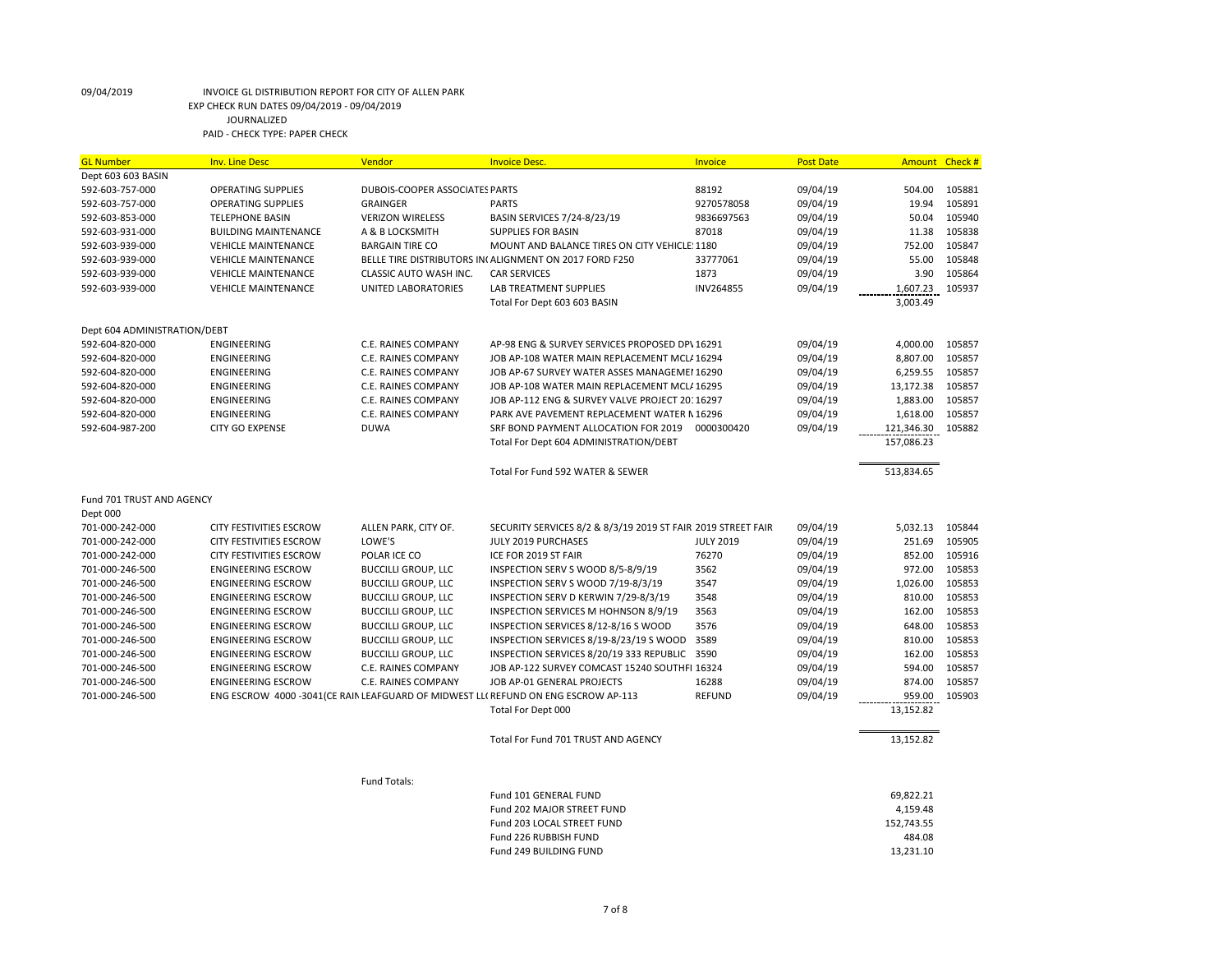| <b>GL Number</b>             | <b>Inv. Line Desc</b>       | Vendor                         | <b>Invoice Desc.</b>                                                               | Invoice          | <b>Post Date</b> | Amount Check # |        |
|------------------------------|-----------------------------|--------------------------------|------------------------------------------------------------------------------------|------------------|------------------|----------------|--------|
| Dept 603 603 BASIN           |                             |                                |                                                                                    |                  |                  |                |        |
| 592-603-757-000              | <b>OPERATING SUPPLIES</b>   | DUBOIS-COOPER ASSOCIATES PARTS |                                                                                    | 88192            | 09/04/19         | 504.00         | 105881 |
| 592-603-757-000              | <b>OPERATING SUPPLIES</b>   | <b>GRAINGER</b>                | <b>PARTS</b>                                                                       | 9270578058       | 09/04/19         | 19.94          | 105891 |
| 592-603-853-000              | <b>TELEPHONE BASIN</b>      | <b>VERIZON WIRELESS</b>        | BASIN SERVICES 7/24-8/23/19                                                        | 9836697563       | 09/04/19         | 50.04          | 105940 |
| 592-603-931-000              | <b>BUILDING MAINTENANCE</b> | A & B LOCKSMITH                | <b>SUPPLIES FOR BASIN</b>                                                          | 87018            | 09/04/19         | 11.38          | 105838 |
| 592-603-939-000              | <b>VEHICLE MAINTENANCE</b>  | <b>BARGAIN TIRE CO</b>         | MOUNT AND BALANCE TIRES ON CITY VEHICLE: 1180                                      |                  | 09/04/19         | 752.00         | 105847 |
| 592-603-939-000              | <b>VEHICLE MAINTENANCE</b>  |                                | BELLE TIRE DISTRIBUTORS IN ALIGNMENT ON 2017 FORD F250                             | 33777061         | 09/04/19         | 55.00          | 105848 |
| 592-603-939-000              | <b>VEHICLE MAINTENANCE</b>  | CLASSIC AUTO WASH INC.         | <b>CAR SERVICES</b>                                                                | 1873             | 09/04/19         | 3.90           | 105864 |
| 592-603-939-000              | <b>VEHICLE MAINTENANCE</b>  | UNITED LABORATORIES            | LAB TREATMENT SUPPLIES                                                             | INV264855        | 09/04/19         | 1,607.23       | 105937 |
|                              |                             |                                | Total For Dept 603 603 BASIN                                                       |                  |                  | 3,003.49       |        |
| Dept 604 ADMINISTRATION/DEBT |                             |                                |                                                                                    |                  |                  |                |        |
| 592-604-820-000              | ENGINEERING                 | C.E. RAINES COMPANY            | AP-98 ENG & SURVEY SERVICES PROPOSED DP\ 16291                                     |                  | 09/04/19         | 4,000.00       | 105857 |
| 592-604-820-000              | ENGINEERING                 | C.E. RAINES COMPANY            | JOB AP-108 WATER MAIN REPLACEMENT MCL/ 16294                                       |                  | 09/04/19         | 8,807.00       | 105857 |
| 592-604-820-000              | ENGINEERING                 | C.E. RAINES COMPANY            | JOB AP-67 SURVEY WATER ASSES MANAGEMEI 16290                                       |                  | 09/04/19         | 6,259.55       | 105857 |
| 592-604-820-000              | ENGINEERING                 | C.E. RAINES COMPANY            | JOB AP-108 WATER MAIN REPLACEMENT MCL/ 16295                                       |                  | 09/04/19         | 13,172.38      | 105857 |
| 592-604-820-000              | ENGINEERING                 | C.E. RAINES COMPANY            | JOB AP-112 ENG & SURVEY VALVE PROJECT 20: 16297                                    |                  | 09/04/19         | 1,883.00       | 105857 |
| 592-604-820-000              | ENGINEERING                 | C.E. RAINES COMPANY            | PARK AVE PAVEMENT REPLACEMENT WATER N 16296                                        |                  | 09/04/19         | 1,618.00       | 105857 |
| 592-604-987-200              | <b>CITY GO EXPENSE</b>      | <b>DUWA</b>                    | SRF BOND PAYMENT ALLOCATION FOR 2019                                               | 0000300420       | 09/04/19         | 121,346.30     | 105882 |
|                              |                             |                                | Total For Dept 604 ADMINISTRATION/DEBT                                             |                  |                  | 157,086.23     |        |
|                              |                             |                                | Total For Fund 592 WATER & SEWER                                                   |                  |                  | 513,834.65     |        |
| Fund 701 TRUST AND AGENCY    |                             |                                |                                                                                    |                  |                  |                |        |
| Dept 000                     |                             |                                |                                                                                    |                  |                  |                |        |
| 701-000-242-000              | CITY FESTIVITIES ESCROW     | ALLEN PARK, CITY OF.           | SECURITY SERVICES 8/2 & 8/3/19 2019 ST FAIR 2019 STREET FAIR                       |                  | 09/04/19         | 5,032.13       | 105844 |
| 701-000-242-000              | CITY FESTIVITIES ESCROW     | LOWE'S                         | JULY 2019 PURCHASES                                                                | <b>JULY 2019</b> | 09/04/19         | 251.69         | 105905 |
| 701-000-242-000              | CITY FESTIVITIES ESCROW     | POLAR ICE CO                   | ICE FOR 2019 ST FAIR                                                               | 76270            | 09/04/19         | 852.00         | 105916 |
| 701-000-246-500              | <b>ENGINEERING ESCROW</b>   | <b>BUCCILLI GROUP, LLC</b>     | INSPECTION SERV S WOOD 8/5-8/9/19                                                  | 3562             | 09/04/19         | 972.00         | 105853 |
| 701-000-246-500              | <b>ENGINEERING ESCROW</b>   | <b>BUCCILLI GROUP, LLC</b>     | INSPECTION SERV S WOOD 7/19-8/3/19                                                 | 3547             | 09/04/19         | 1,026.00       | 105853 |
| 701-000-246-500              | <b>ENGINEERING ESCROW</b>   | <b>BUCCILLI GROUP, LLC</b>     | INSPECTION SERV D KERWIN 7/29-8/3/19                                               | 3548             | 09/04/19         | 810.00         | 105853 |
| 701-000-246-500              | <b>ENGINEERING ESCROW</b>   | <b>BUCCILLI GROUP, LLC</b>     | INSPECTION SERVICES M HOHNSON 8/9/19                                               | 3563             | 09/04/19         | 162.00         | 105853 |
| 701-000-246-500              | <b>ENGINEERING ESCROW</b>   | <b>BUCCILLI GROUP, LLC</b>     | INSPECTION SERVICES 8/12-8/16 S WOOD                                               | 3576             | 09/04/19         | 648.00         | 105853 |
| 701-000-246-500              | <b>ENGINEERING ESCROW</b>   | <b>BUCCILLI GROUP, LLC</b>     | INSPECTION SERVICES 8/19-8/23/19 S WOOD                                            | 3589             | 09/04/19         | 810.00         | 105853 |
| 701-000-246-500              | <b>ENGINEERING ESCROW</b>   | <b>BUCCILLI GROUP, LLC</b>     | INSPECTION SERVICES 8/20/19 333 REPUBLIC                                           | 3590             | 09/04/19         | 162.00         | 105853 |
| 701-000-246-500              | <b>ENGINEERING ESCROW</b>   | C.E. RAINES COMPANY            | JOB AP-122 SURVEY COMCAST 15240 SOUTHFI 16324                                      |                  | 09/04/19         | 594.00         | 105857 |
| 701-000-246-500              | <b>ENGINEERING ESCROW</b>   | C.E. RAINES COMPANY            | JOB AP-01 GENERAL PROJECTS                                                         | 16288            | 09/04/19         | 874.00         | 105857 |
| 701-000-246-500              |                             |                                | ENG ESCROW 4000 -3041(CE RAIN LEAFGUARD OF MIDWEST LL( REFUND ON ENG ESCROW AP-113 | <b>REFUND</b>    | 09/04/19         | 959.00         | 105903 |
|                              |                             |                                | Total For Dept 000                                                                 |                  |                  | 13,152.82      |        |
|                              |                             |                                |                                                                                    |                  |                  |                |        |
|                              |                             |                                | Total For Fund 701 TRUST AND AGENCY                                                |                  |                  | 13,152.82      |        |
|                              |                             | Fund Totals:                   |                                                                                    |                  |                  |                |        |
|                              |                             |                                | Fund 101 GENERAL FUND                                                              |                  |                  | 69,822.21      |        |
|                              |                             |                                | Fund 202 MAJOR STREET FUND                                                         |                  |                  | 4,159.48       |        |
|                              |                             |                                | Fund 203 LOCAL STREET FUND                                                         |                  |                  | 152,743.55     |        |
|                              |                             |                                | Fund 226 RUBBISH FUND                                                              |                  |                  | 484.08         |        |
|                              |                             |                                | Fund 249 BUILDING FUND                                                             |                  |                  | 13,231.10      |        |